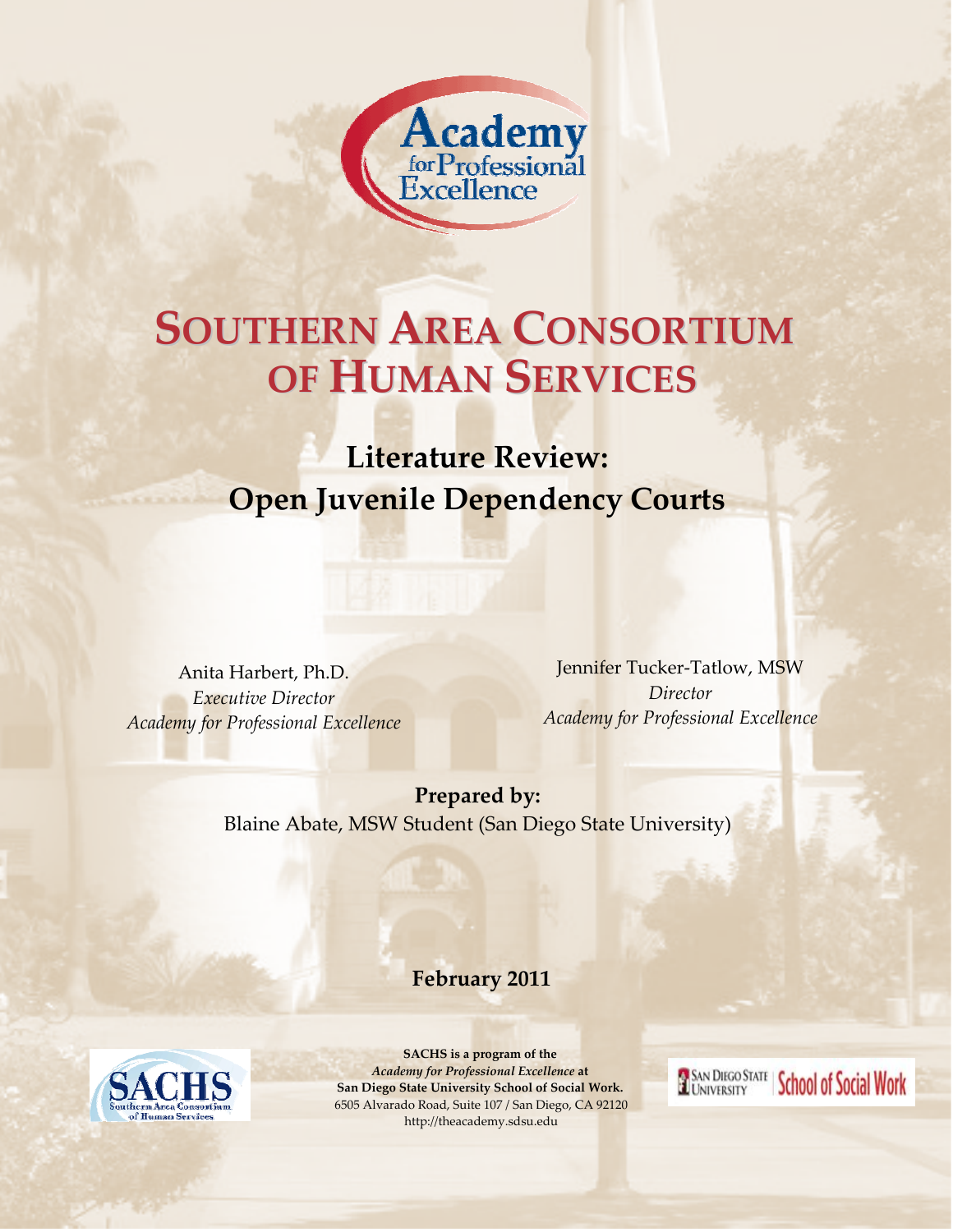

# **OF HUMAN SERVICES SOUTHERN AREA CONSORTIUM**

**Literature Review: Open Juvenile Dependency Courts**

Anita Harbert, Ph.D. *Executive Director Academy for Professional Excellence*

Jennifer Tucker‐Tatlow, MSW *Director Academy for Professional Excellence*

**EL SAN DIEGO STATE | School of Social Work** 

**Prepared by:** Blaine Abate, MSW Student (San Diego State University)

**February 2011**



**Table of Contents**  *Academy for Professional Excellence* **at SACHS is a program of the San Diego State University School of Social Work.** 6505 Alvarado Road, Suite 107 / San Diego, CA 92120 http://theacademy.sdsu.edu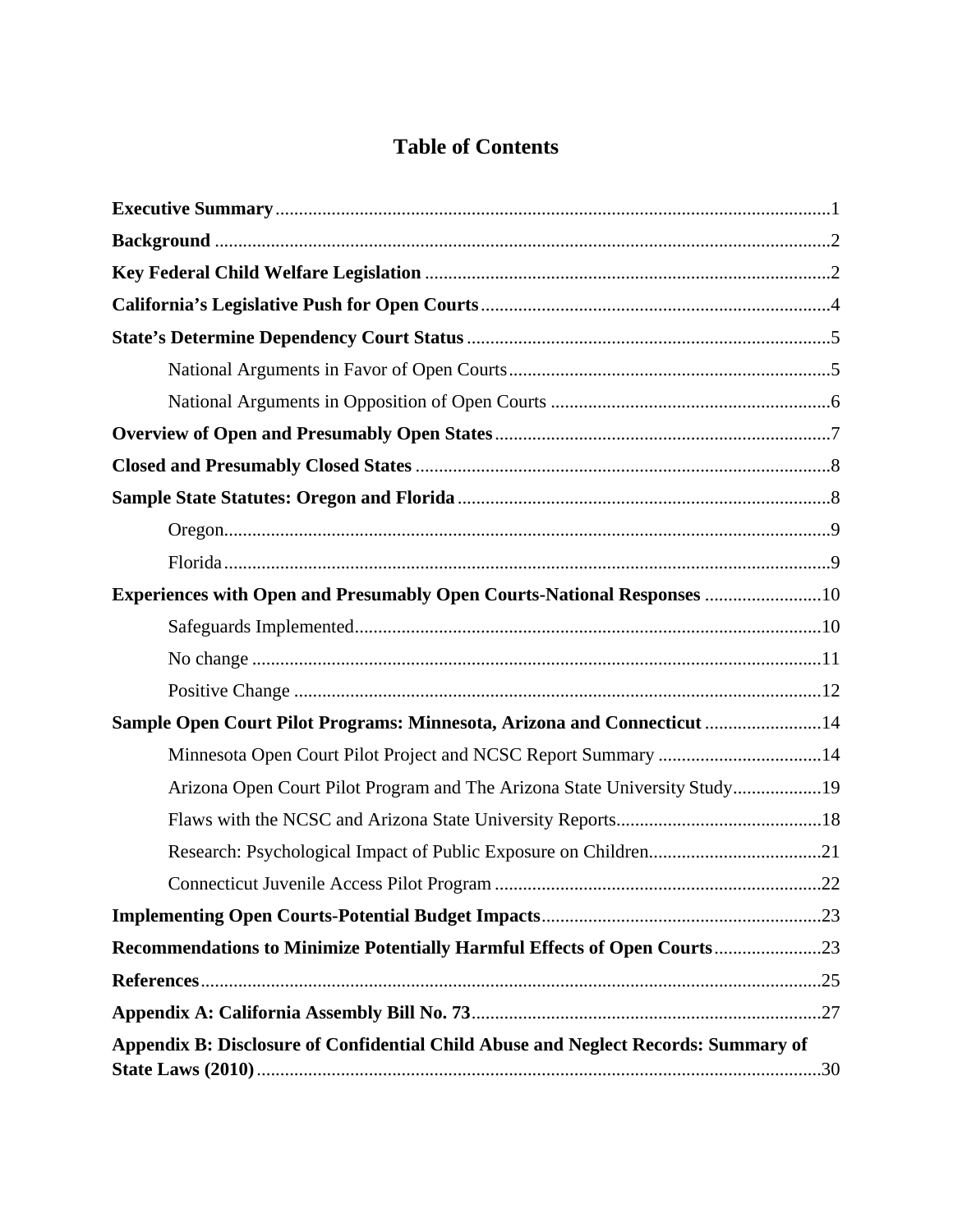# **Table of Contents**

| <b>Experiences with Open and Presumably Open Courts-National Responses 10</b>      |  |
|------------------------------------------------------------------------------------|--|
|                                                                                    |  |
|                                                                                    |  |
|                                                                                    |  |
| Sample Open Court Pilot Programs: Minnesota, Arizona and Connecticut  14           |  |
| Minnesota Open Court Pilot Project and NCSC Report Summary 14                      |  |
| Arizona Open Court Pilot Program and The Arizona State University Study19          |  |
|                                                                                    |  |
|                                                                                    |  |
|                                                                                    |  |
|                                                                                    |  |
| Recommendations to Minimize Potentially Harmful Effects of Open Courts23           |  |
|                                                                                    |  |
|                                                                                    |  |
| Appendix B: Disclosure of Confidential Child Abuse and Neglect Records: Summary of |  |
|                                                                                    |  |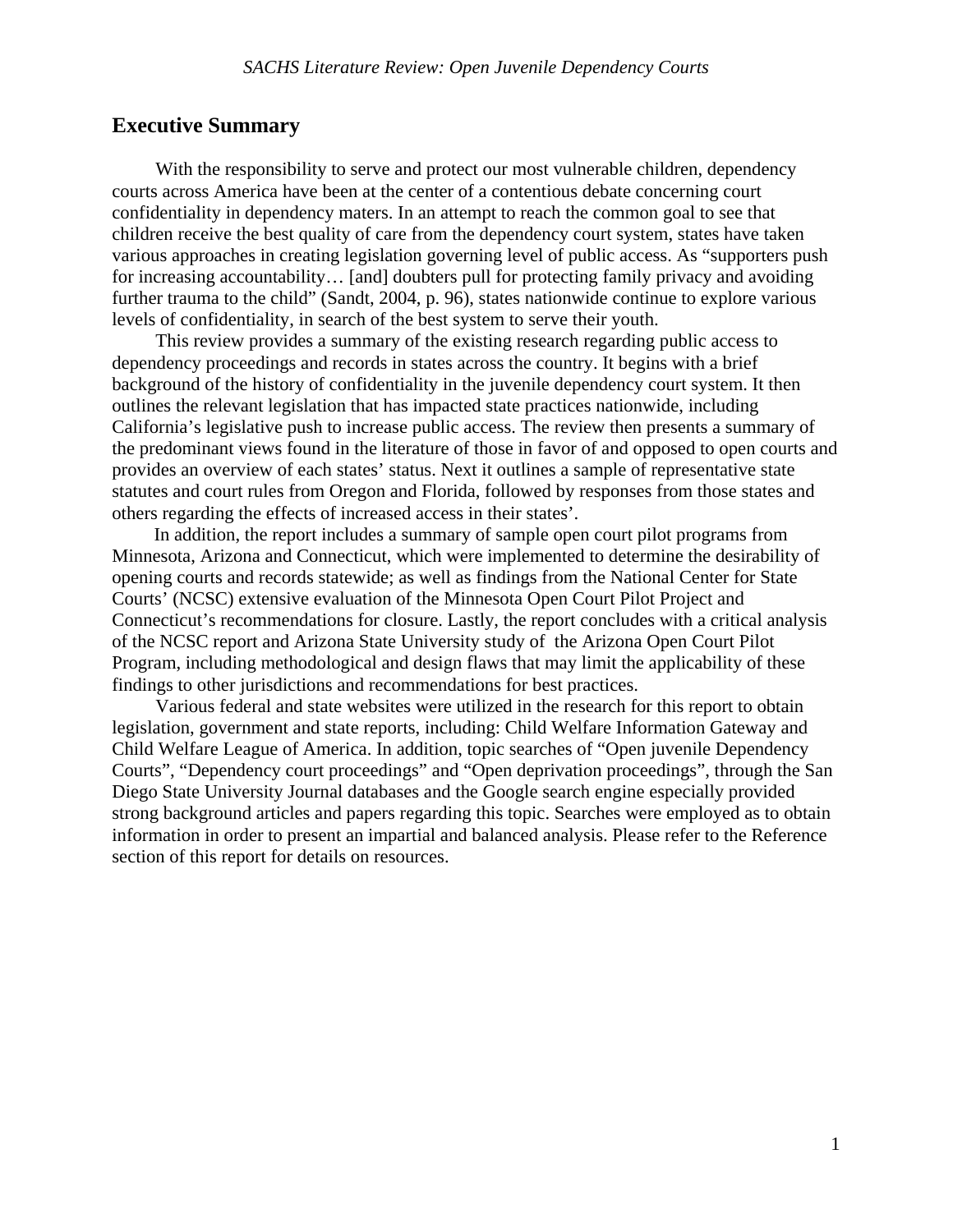### **Executive Summary**

 With the responsibility to serve and protect our most vulnerable children, dependency courts across America have been at the center of a contentious debate concerning court confidentiality in dependency maters. In an attempt to reach the common goal to see that children receive the best quality of care from the dependency court system, states have taken various approaches in creating legislation governing level of public access. As "supporters push for increasing accountability… [and] doubters pull for protecting family privacy and avoiding further trauma to the child" (Sandt, 2004, p. 96), states nationwide continue to explore various levels of confidentiality, in search of the best system to serve their youth.

 This review provides a summary of the existing research regarding public access to dependency proceedings and records in states across the country. It begins with a brief background of the history of confidentiality in the juvenile dependency court system. It then outlines the relevant legislation that has impacted state practices nationwide, including California's legislative push to increase public access. The review then presents a summary of the predominant views found in the literature of those in favor of and opposed to open courts and provides an overview of each states' status. Next it outlines a sample of representative state statutes and court rules from Oregon and Florida, followed by responses from those states and others regarding the effects of increased access in their states'.

In addition, the report includes a summary of sample open court pilot programs from Minnesota, Arizona and Connecticut, which were implemented to determine the desirability of opening courts and records statewide; as well as findings from the National Center for State Courts' (NCSC) extensive evaluation of the Minnesota Open Court Pilot Project and Connecticut's recommendations for closure. Lastly, the report concludes with a critical analysis of the NCSC report and Arizona State University study of the Arizona Open Court Pilot Program, including methodological and design flaws that may limit the applicability of these findings to other jurisdictions and recommendations for best practices.

 Various federal and state websites were utilized in the research for this report to obtain legislation, government and state reports, including: Child Welfare Information Gateway and Child Welfare League of America. In addition, topic searches of "Open juvenile Dependency Courts", "Dependency court proceedings" and "Open deprivation proceedings", through the San Diego State University Journal databases and the Google search engine especially provided strong background articles and papers regarding this topic. Searches were employed as to obtain information in order to present an impartial and balanced analysis. Please refer to the Reference section of this report for details on resources.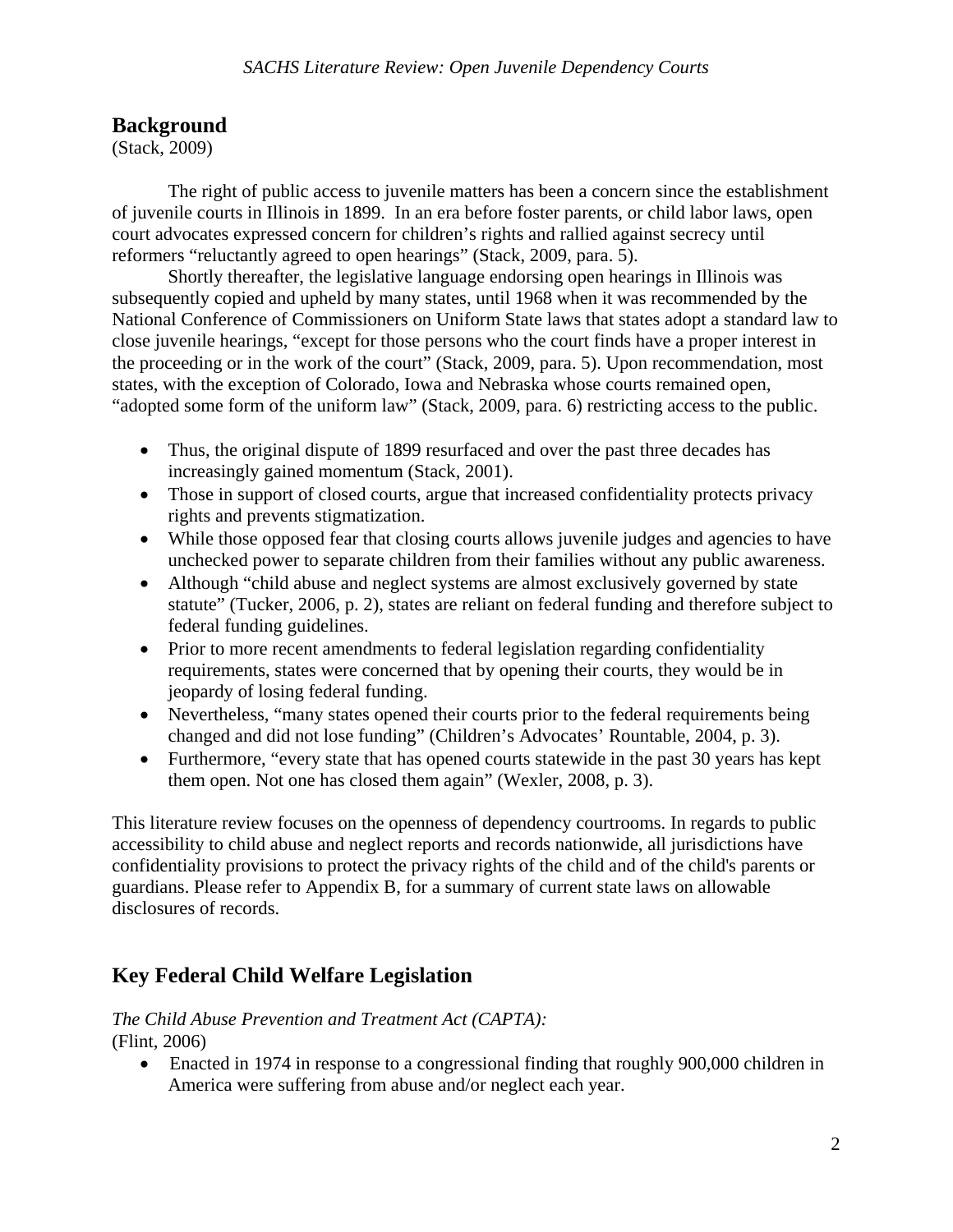### **Background**

(Stack, 2009)

The right of public access to juvenile matters has been a concern since the establishment of juvenile courts in Illinois in 1899. In an era before foster parents, or child labor laws, open court advocates expressed concern for children's rights and rallied against secrecy until reformers "reluctantly agreed to open hearings" (Stack, 2009, para. 5).

Shortly thereafter, the legislative language endorsing open hearings in Illinois was subsequently copied and upheld by many states, until 1968 when it was recommended by the National Conference of Commissioners on Uniform State laws that states adopt a standard law to close juvenile hearings, "except for those persons who the court finds have a proper interest in the proceeding or in the work of the court" (Stack, 2009, para. 5). Upon recommendation, most states, with the exception of Colorado, Iowa and Nebraska whose courts remained open, "adopted some form of the uniform law" (Stack, 2009, para. 6) restricting access to the public.

- Thus, the original dispute of 1899 resurfaced and over the past three decades has increasingly gained momentum (Stack, 2001).
- Those in support of closed courts, argue that increased confidentiality protects privacy rights and prevents stigmatization.
- While those opposed fear that closing courts allows juvenile judges and agencies to have unchecked power to separate children from their families without any public awareness.
- Although "child abuse and neglect systems are almost exclusively governed by state statute" (Tucker, 2006, p. 2), states are reliant on federal funding and therefore subject to federal funding guidelines.
- Prior to more recent amendments to federal legislation regarding confidentiality requirements, states were concerned that by opening their courts, they would be in jeopardy of losing federal funding.
- Nevertheless, "many states opened their courts prior to the federal requirements being changed and did not lose funding" (Children's Advocates' Rountable, 2004, p. 3).
- Furthermore, "every state that has opened courts statewide in the past 30 years has kept them open. Not one has closed them again" (Wexler, 2008, p. 3).

This literature review focuses on the openness of dependency courtrooms. In regards to public accessibility to child abuse and neglect reports and records nationwide, all jurisdictions have confidentiality provisions to protect the privacy rights of the child and of the child's parents or guardians. Please refer to Appendix B, for a summary of current state laws on allowable disclosures of records.

# **Key Federal Child Welfare Legislation**

### *The Child Abuse Prevention and Treatment Act (CAPTA):*  (Flint, 2006)

 Enacted in 1974 in response to a congressional finding that roughly 900,000 children in America were suffering from abuse and/or neglect each year.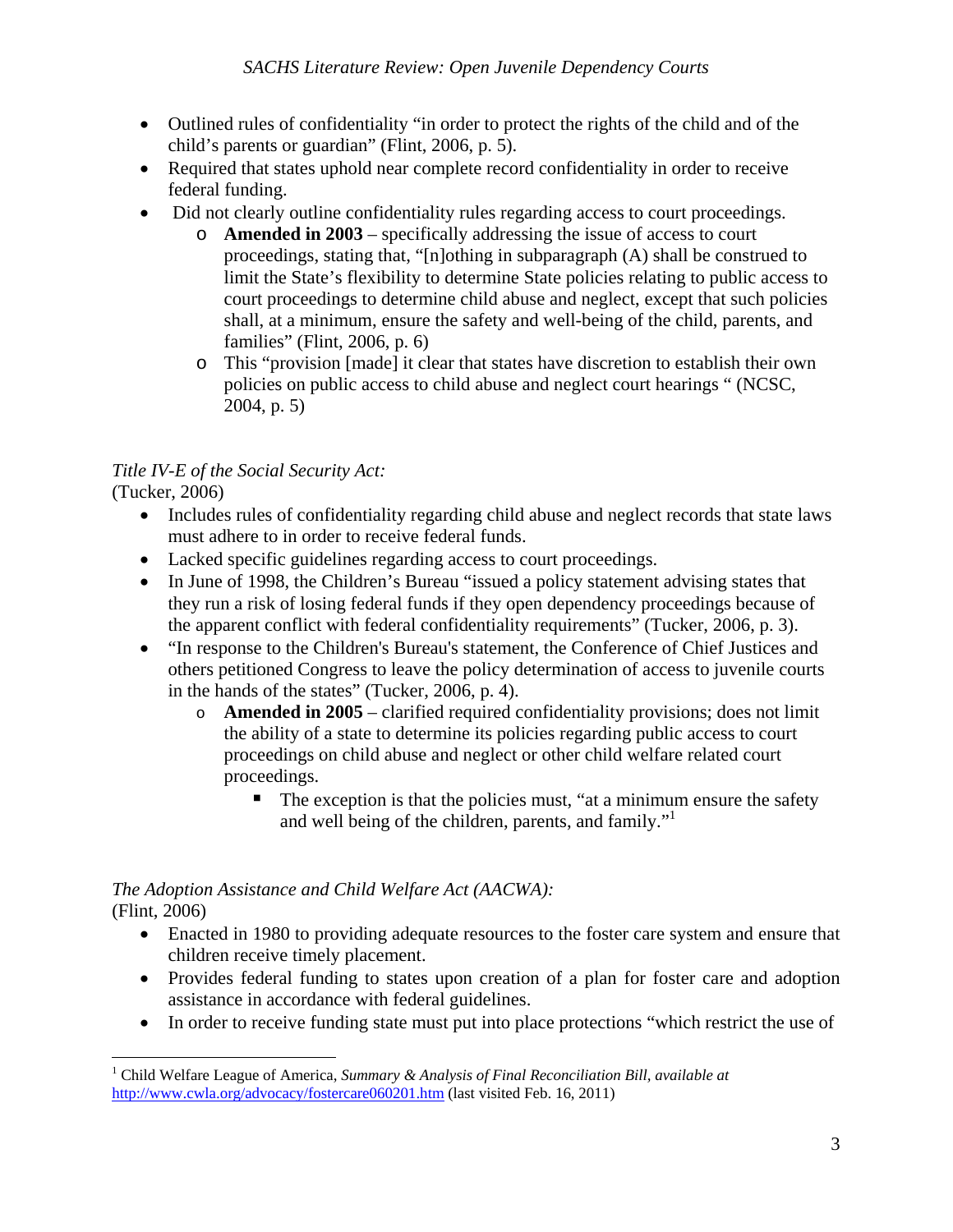- Outlined rules of confidentiality "in order to protect the rights of the child and of the child's parents or guardian" (Flint, 2006, p. 5).
- Required that states uphold near complete record confidentiality in order to receive federal funding.
- Did not clearly outline confidentiality rules regarding access to court proceedings.
	- o **Amended in 2003** specifically addressing the issue of access to court proceedings, stating that, "[n]othing in subparagraph (A) shall be construed to limit the State's flexibility to determine State policies relating to public access to court proceedings to determine child abuse and neglect, except that such policies shall, at a minimum, ensure the safety and well-being of the child, parents, and families" (Flint, 2006, p. 6)
	- o This "provision [made] it clear that states have discretion to establish their own policies on public access to child abuse and neglect court hearings " (NCSC, 2004, p. 5)

# *Title IV-E of the Social Security Act:*

(Tucker, 2006)

- Includes rules of confidentiality regarding child abuse and neglect records that state laws must adhere to in order to receive federal funds.
- Lacked specific guidelines regarding access to court proceedings.
- In June of 1998, the Children's Bureau "issued a policy statement advising states that they run a risk of losing federal funds if they open dependency proceedings because of the apparent conflict with federal confidentiality requirements" (Tucker, 2006, p. 3).
- "In response to the Children's Bureau's statement, the Conference of Chief Justices and others petitioned Congress to leave the policy determination of access to juvenile courts in the hands of the states" (Tucker, 2006, p. 4).
	- o **Amended in 2005** clarified required confidentiality provisions; does not limit the ability of a state to determine its policies regarding public access to court proceedings on child abuse and neglect or other child welfare related court proceedings.
		- $\blacksquare$  The exception is that the policies must, "at a minimum ensure the safety and well being of the children, parents, and family."1

### *The Adoption Assistance and Child Welfare Act (AACWA):*  (Flint, 2006)

- Enacted in 1980 to providing adequate resources to the foster care system and ensure that children receive timely placement.
- Provides federal funding to states upon creation of a plan for foster care and adoption assistance in accordance with federal guidelines.
- In order to receive funding state must put into place protections "which restrict the use of

<sup>1</sup> <sup>1</sup> Child Welfare League of America, *Summary & Analysis of Final Reconciliation Bill, available at* http://www.cwla.org/advocacy/fostercare060201.htm (last visited Feb. 16, 2011)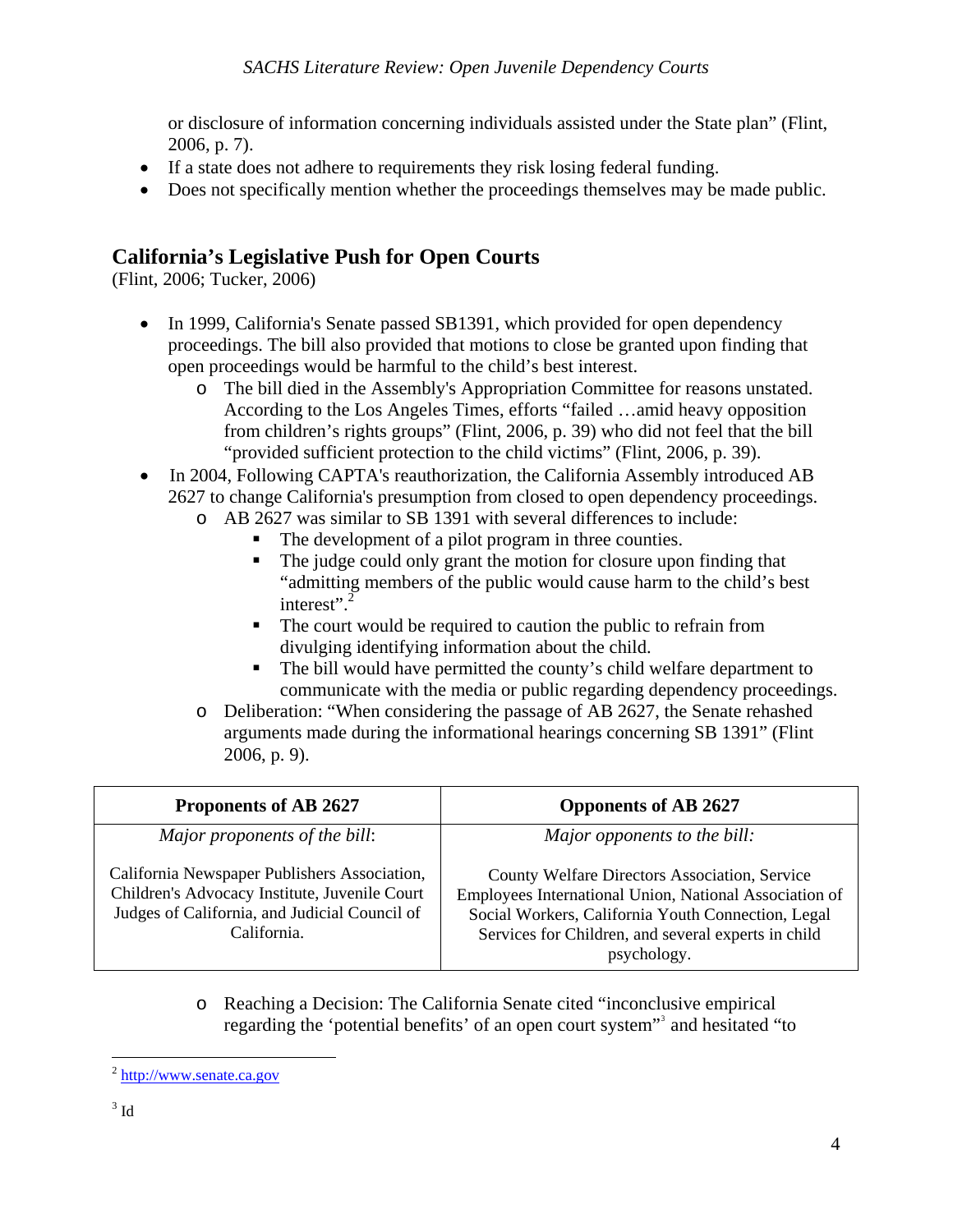or disclosure of information concerning individuals assisted under the State plan" (Flint, 2006, p. 7).

- If a state does not adhere to requirements they risk losing federal funding.
- Does not specifically mention whether the proceedings themselves may be made public.

# **California's Legislative Push for Open Courts**

(Flint, 2006; Tucker, 2006)

- In 1999, California's Senate passed SB1391, which provided for open dependency proceedings. The bill also provided that motions to close be granted upon finding that open proceedings would be harmful to the child's best interest.
	- o The bill died in the Assembly's Appropriation Committee for reasons unstated. According to the Los Angeles Times, efforts "failed …amid heavy opposition from children's rights groups" (Flint, 2006, p. 39) who did not feel that the bill "provided sufficient protection to the child victims" (Flint, 2006, p. 39).
- In 2004, Following CAPTA's reauthorization, the California Assembly introduced AB 2627 to change California's presumption from closed to open dependency proceedings.
	- o AB 2627 was similar to SB 1391 with several differences to include:
		- The development of a pilot program in three counties.
		- The judge could only grant the motion for closure upon finding that "admitting members of the public would cause harm to the child's best interest".<sup>2</sup>
		- The court would be required to caution the public to refrain from divulging identifying information about the child.
		- The bill would have permitted the county's child welfare department to communicate with the media or public regarding dependency proceedings.
	- o Deliberation: "When considering the passage of AB 2627, the Senate rehashed arguments made during the informational hearings concerning SB 1391" (Flint 2006, p. 9).

| Proponents of AB 2627                                                                                                                                         | <b>Opponents of AB 2627</b>                                                                                                                                                                                                         |
|---------------------------------------------------------------------------------------------------------------------------------------------------------------|-------------------------------------------------------------------------------------------------------------------------------------------------------------------------------------------------------------------------------------|
| Major proponents of the bill:                                                                                                                                 | Major opponents to the bill:                                                                                                                                                                                                        |
| California Newspaper Publishers Association,<br>Children's Advocacy Institute, Juvenile Court<br>Judges of California, and Judicial Council of<br>California. | County Welfare Directors Association, Service<br>Employees International Union, National Association of<br>Social Workers, California Youth Connection, Legal<br>Services for Children, and several experts in child<br>psychology. |

o Reaching a Decision: The California Senate cited "inconclusive empirical regarding the 'potential benefits' of an open court system"<sup>3</sup> and hesitated "to

 $\overline{a}$  $^{2}$  http://www.senate.ca.gov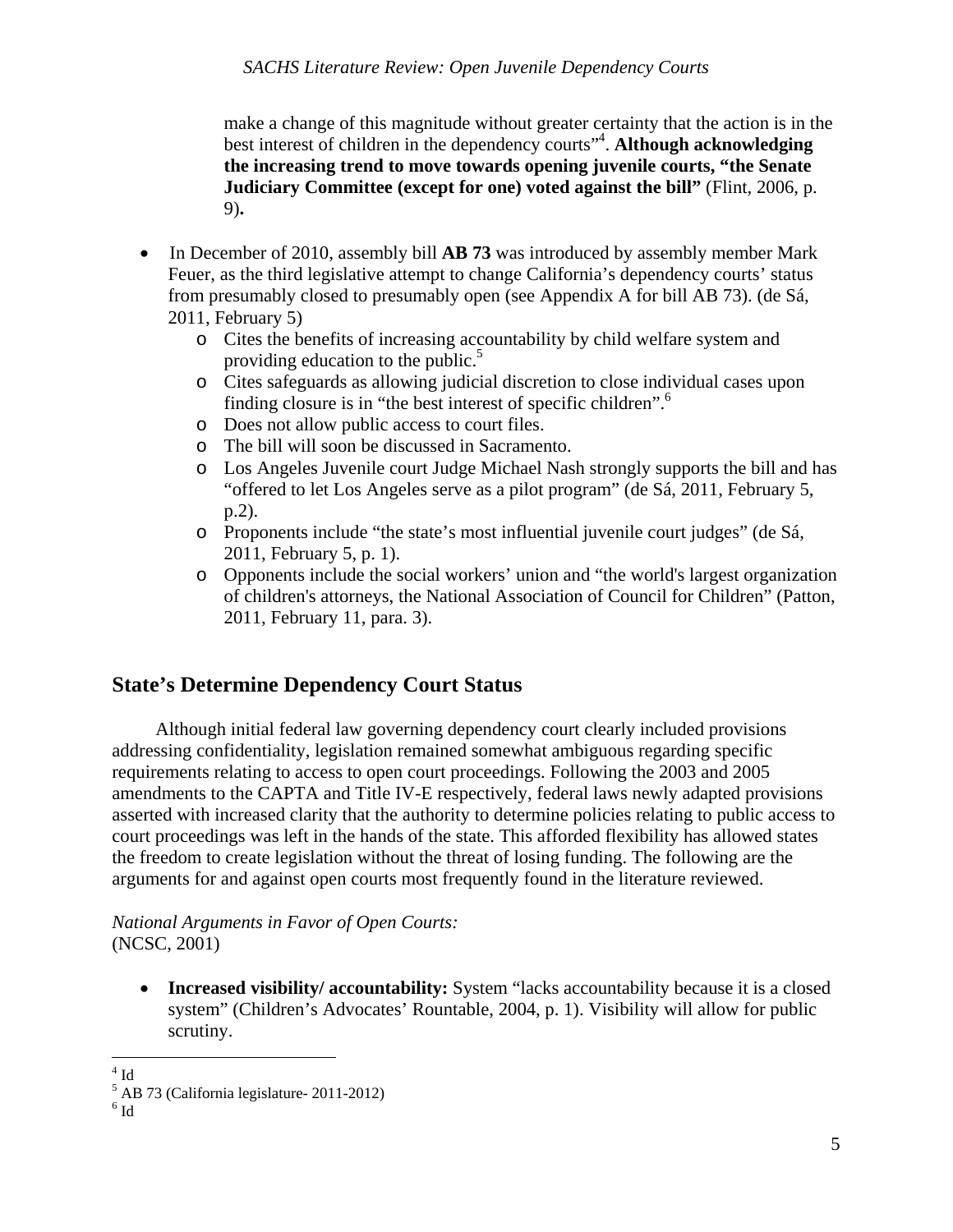make a change of this magnitude without greater certainty that the action is in the best interest of children in the dependency courts<sup>"4</sup>. Although acknowledging **the increasing trend to move towards opening juvenile courts, "the Senate Judiciary Committee (except for one) voted against the bill" (Flint, 2006, p.** 9)**.** 

- In December of 2010, assembly bill **AB 73** was introduced by assembly member Mark Feuer, as the third legislative attempt to change California's dependency courts' status from presumably closed to presumably open (see Appendix A for bill AB 73). (de Sá, 2011, February 5)
	- o Cites the benefits of increasing accountability by child welfare system and providing education to the public.<sup>5</sup>
	- o Cites safeguards as allowing judicial discretion to close individual cases upon finding closure is in "the best interest of specific children".<sup>6</sup>
	- o Does not allow public access to court files.
	- o The bill will soon be discussed in Sacramento.
	- o Los Angeles Juvenile court Judge Michael Nash strongly supports the bill and has "offered to let Los Angeles serve as a pilot program" (de Sá, 2011, February 5, p.2).
	- o Proponents include "the state's most influential juvenile court judges" (de Sá, 2011, February 5, p. 1).
	- o Opponents include the social workers' union and "the world's largest organization of children's attorneys, the National Association of Council for Children" (Patton, 2011, February 11, para. 3).

# **State's Determine Dependency Court Status**

 Although initial federal law governing dependency court clearly included provisions addressing confidentiality, legislation remained somewhat ambiguous regarding specific requirements relating to access to open court proceedings. Following the 2003 and 2005 amendments to the CAPTA and Title IV-E respectively, federal laws newly adapted provisions asserted with increased clarity that the authority to determine policies relating to public access to court proceedings was left in the hands of the state. This afforded flexibility has allowed states the freedom to create legislation without the threat of losing funding. The following are the arguments for and against open courts most frequently found in the literature reviewed.

*National Arguments in Favor of Open Courts:*  (NCSC, 2001)

• **Increased visibility/ accountability:** System "lacks accountability because it is a closed system" (Children's Advocates' Rountable, 2004, p. 1). Visibility will allow for public scrutiny.

<sup>1</sup>  $4$  Id

<sup>5</sup> AB 73 (California legislature- 2011-2012)

 $^6$  Id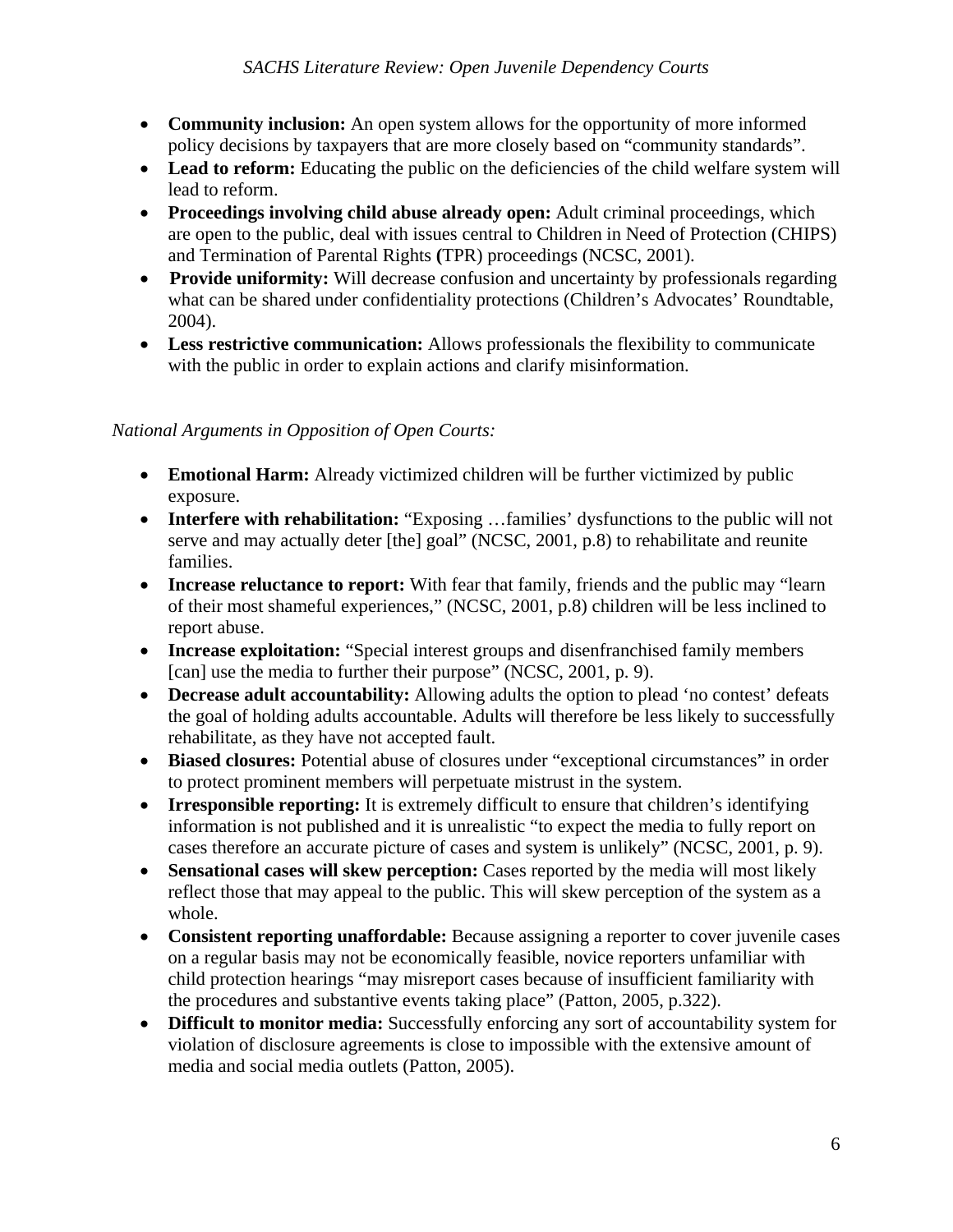- **Community inclusion:** An open system allows for the opportunity of more informed policy decisions by taxpayers that are more closely based on "community standards".
- Lead to reform: Educating the public on the deficiencies of the child welfare system will lead to reform.
- **Proceedings involving child abuse already open:** Adult criminal proceedings, which are open to the public, deal with issues central to Children in Need of Protection (CHIPS) and Termination of Parental Rights **(**TPR) proceedings (NCSC, 2001).
- **Provide uniformity:** Will decrease confusion and uncertainty by professionals regarding what can be shared under confidentiality protections (Children's Advocates' Roundtable, 2004).
- **Less restrictive communication:** Allows professionals the flexibility to communicate with the public in order to explain actions and clarify misinformation.

### *National Arguments in Opposition of Open Courts:*

- **Emotional Harm:** Already victimized children will be further victimized by public exposure.
- **Interfere with rehabilitation:** "Exposing ... families' dysfunctions to the public will not serve and may actually deter [the] goal" (NCSC, 2001, p.8) to rehabilitate and reunite families.
- **Increase reluctance to report:** With fear that family, friends and the public may "learn of their most shameful experiences," (NCSC, 2001, p.8) children will be less inclined to report abuse.
- **Increase exploitation:** "Special interest groups and disenfranchised family members [can] use the media to further their purpose" (NCSC, 2001, p. 9).
- **Decrease adult accountability:** Allowing adults the option to plead 'no contest' defeats the goal of holding adults accountable. Adults will therefore be less likely to successfully rehabilitate, as they have not accepted fault.
- **Biased closures:** Potential abuse of closures under "exceptional circumstances" in order to protect prominent members will perpetuate mistrust in the system.
- **Irresponsible reporting:** It is extremely difficult to ensure that children's identifying information is not published and it is unrealistic "to expect the media to fully report on cases therefore an accurate picture of cases and system is unlikely" (NCSC, 2001, p. 9).
- **Sensational cases will skew perception:** Cases reported by the media will most likely reflect those that may appeal to the public. This will skew perception of the system as a whole.
- **Consistent reporting unaffordable:** Because assigning a reporter to cover juvenile cases on a regular basis may not be economically feasible, novice reporters unfamiliar with child protection hearings "may misreport cases because of insufficient familiarity with the procedures and substantive events taking place" (Patton, 2005, p.322).
- **Difficult to monitor media:** Successfully enforcing any sort of accountability system for violation of disclosure agreements is close to impossible with the extensive amount of media and social media outlets (Patton, 2005).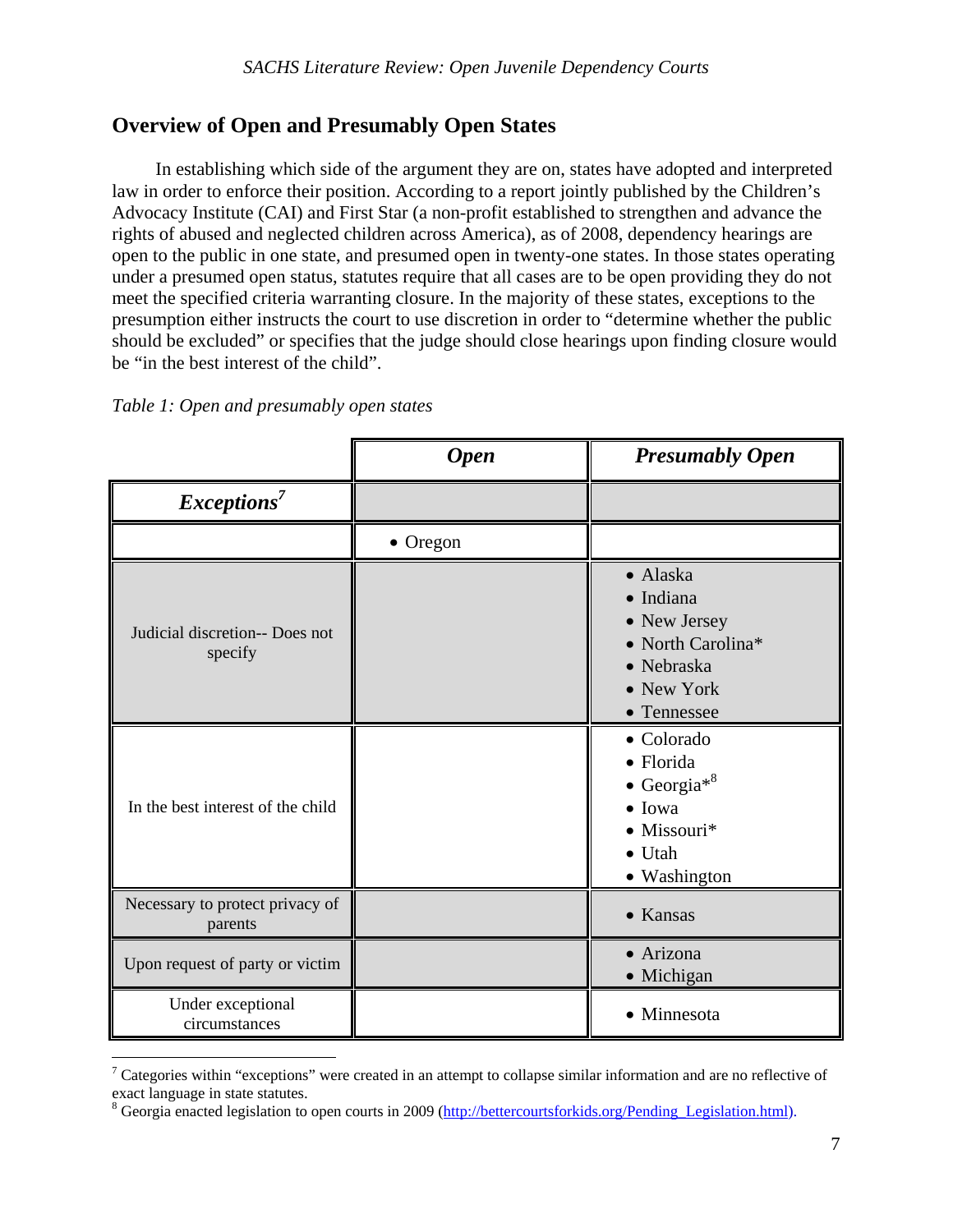# **Overview of Open and Presumably Open States**

In establishing which side of the argument they are on, states have adopted and interpreted law in order to enforce their position. According to a report jointly published by the Children's Advocacy Institute (CAI) and First Star (a non-profit established to strengthen and advance the rights of abused and neglected children across America), as of 2008, dependency hearings are open to the public in one state, and presumed open in twenty-one states. In those states operating under a presumed open status, statutes require that all cases are to be open providing they do not meet the specified criteria warranting closure. In the majority of these states, exceptions to the presumption either instructs the court to use discretion in order to "determine whether the public should be excluded" or specifies that the judge should close hearings upon finding closure would be "in the best interest of the child".

### *Table 1: Open and presumably open states*

 $\overline{a}$ 

|                                            | <b>Open</b> | <b>Presumably Open</b>                                                                                                        |
|--------------------------------------------|-------------|-------------------------------------------------------------------------------------------------------------------------------|
| Exceptions <sup>7</sup>                    |             |                                                                                                                               |
|                                            | • Oregon    |                                                                                                                               |
| Judicial discretion-- Does not<br>specify  |             | • Alaska<br>· Indiana<br>• New Jersey<br>• North Carolina*<br>• Nebraska<br>• New York<br>• Tennessee                         |
| In the best interest of the child          |             | • Colorado<br>• Florida<br>• Georgia <sup>*8</sup><br>$\bullet$ Iowa<br>$\bullet$ Missouri*<br>$\bullet$ Utah<br>• Washington |
| Necessary to protect privacy of<br>parents |             | • Kansas                                                                                                                      |
| Upon request of party or victim            |             | • Arizona<br>• Michigan                                                                                                       |
| Under exceptional<br>circumstances         |             | • Minnesota                                                                                                                   |

<sup>&</sup>lt;sup>7</sup> Categories within "exceptions" were created in an attempt to collapse similar information and are no reflective of exact language in state statutes.

<sup>&</sup>lt;sup>8</sup> Georgia enacted legislation to open courts in 2009 (http://bettercourtsforkids.org/Pending\_Legislation.html).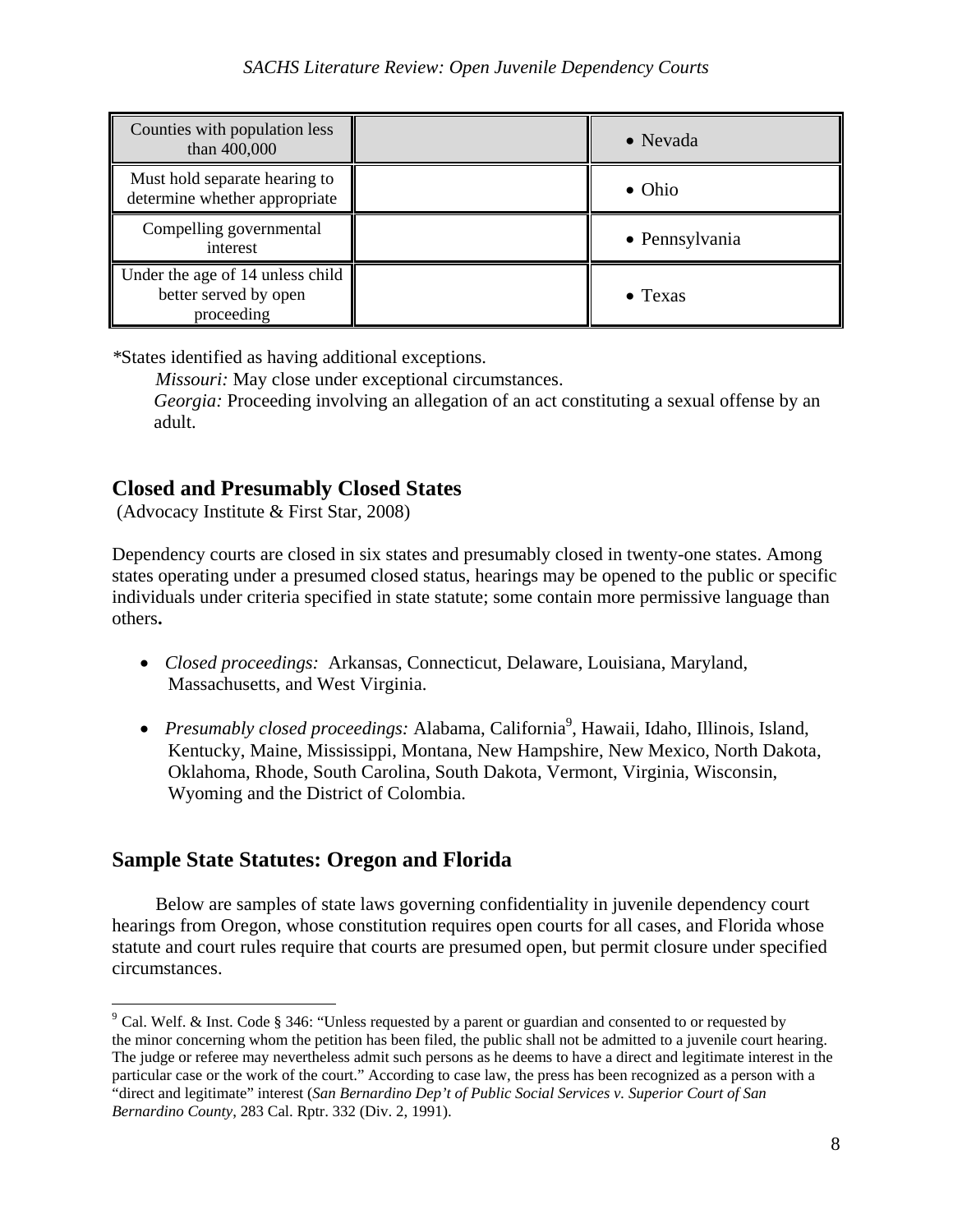| Counties with population less<br>than 400,000                           | • Nevada        |
|-------------------------------------------------------------------------|-----------------|
| Must hold separate hearing to<br>determine whether appropriate          | $\bullet$ Ohio  |
| Compelling governmental<br>interest                                     | • Pennsylvania  |
| Under the age of 14 unless child<br>better served by open<br>proceeding | $\bullet$ Texas |

*\**States identified as having additional exceptions.

*Missouri:* May close under exceptional circumstances.

 *Georgia:* Proceeding involving an allegation of an act constituting a sexual offense by an adult.

### **Closed and Presumably Closed States**

(Advocacy Institute & First Star, 2008)

Dependency courts are closed in six states and presumably closed in twenty-one states. Among states operating under a presumed closed status, hearings may be opened to the public or specific individuals under criteria specified in state statute; some contain more permissive language than others**.** 

- *Closed proceedings:* Arkansas, Connecticut, Delaware, Louisiana, Maryland, Massachusetts, and West Virginia.
- Presumably closed proceedings: Alabama, California<sup>9</sup>, Hawaii, Idaho, Illinois, Island, Kentucky, Maine, Mississippi, Montana, New Hampshire, New Mexico, North Dakota, Oklahoma, Rhode, South Carolina, South Dakota, Vermont, Virginia, Wisconsin, Wyoming and the District of Colombia.

# **Sample State Statutes: Oregon and Florida**

 $\overline{a}$ 

 Below are samples of state laws governing confidentiality in juvenile dependency court hearings from Oregon, whose constitution requires open courts for all cases, and Florida whose statute and court rules require that courts are presumed open, but permit closure under specified circumstances.

 $9^9$  Cal. Welf. & Inst. Code § 346: "Unless requested by a parent or guardian and consented to or requested by the minor concerning whom the petition has been filed, the public shall not be admitted to a juvenile court hearing. The judge or referee may nevertheless admit such persons as he deems to have a direct and legitimate interest in the particular case or the work of the court." According to case law, the press has been recognized as a person with a "direct and legitimate" interest (*San Bernardino Dep't of Public Social Services v. Superior Court of San Bernardino County*, 283 Cal. Rptr. 332 (Div. 2, 1991).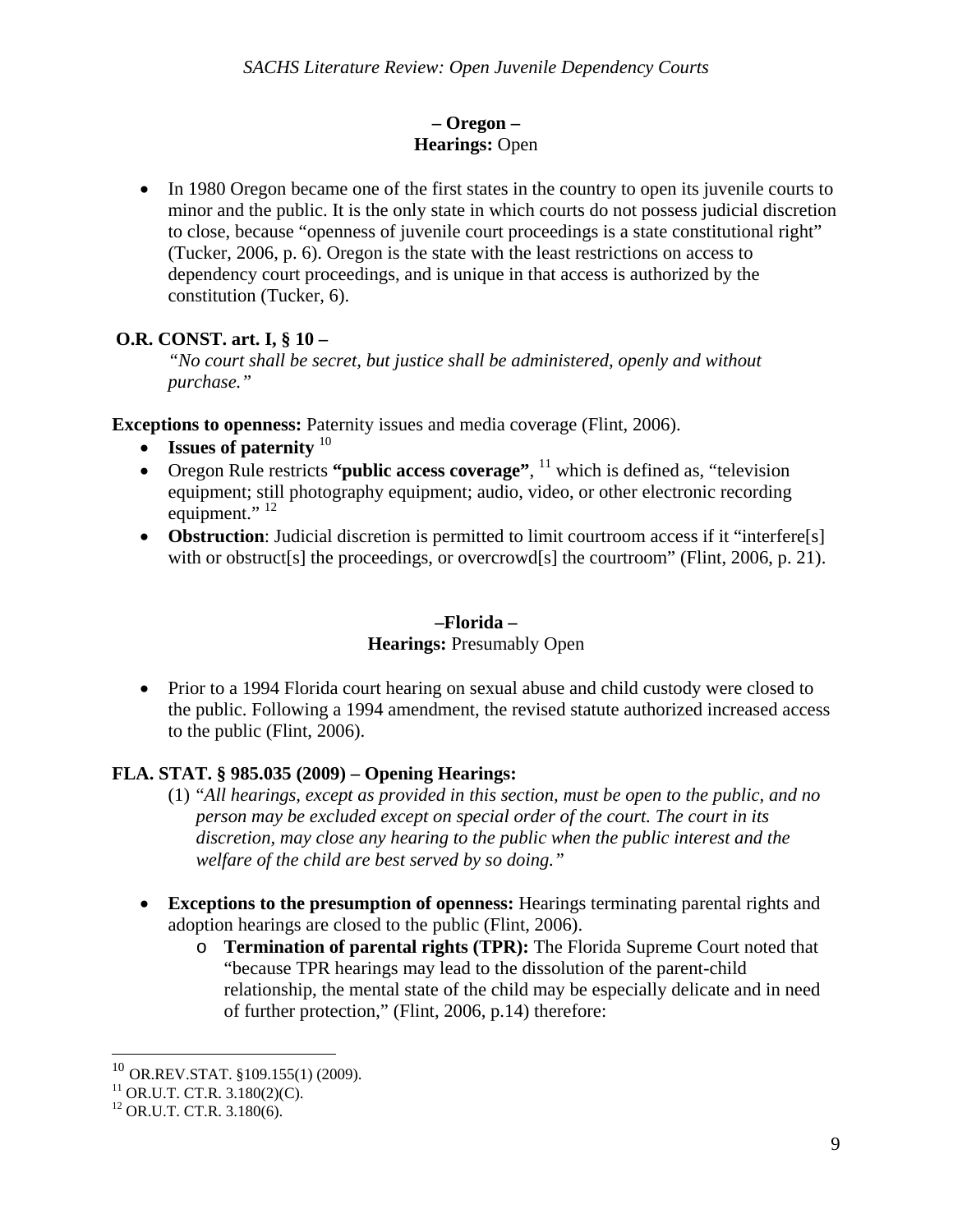### **– Oregon – Hearings:** Open

• In 1980 Oregon became one of the first states in the country to open its juvenile courts to minor and the public. It is the only state in which courts do not possess judicial discretion to close, because "openness of juvenile court proceedings is a state constitutional right" (Tucker, 2006, p. 6). Oregon is the state with the least restrictions on access to dependency court proceedings, and is unique in that access is authorized by the constitution (Tucker, 6).

### **O.R. CONST. art. I, § 10 –**

*"No court shall be secret, but justice shall be administered, openly and without purchase."* 

**Exceptions to openness:** Paternity issues and media coverage (Flint, 2006).

- **Issues of paternity**  $10$
- Oregon Rule restricts "**public access coverage**", <sup>11</sup> which is defined as, "television" equipment; still photography equipment; audio, video, or other electronic recording equipment." $^{12}$
- **Obstruction**: Judicial discretion is permitted to limit courtroom access if it "interfere[s] with or obstruct[s] the proceedings, or overcrowd[s] the courtroom" (Flint, 2006, p. 21).

### **–Florida –**

### **Hearings: Presumably Open**

• Prior to a 1994 Florida court hearing on sexual abuse and child custody were closed to the public. Following a 1994 amendment, the revised statute authorized increased access to the public (Flint, 2006).

# **FLA. STAT. § 985.035 (2009) – Opening Hearings:**

- (1) "*All hearings, except as provided in this section, must be open to the public, and no person may be excluded except on special order of the court. The court in its discretion, may close any hearing to the public when the public interest and the welfare of the child are best served by so doing."*
- **Exceptions to the presumption of openness:** Hearings terminating parental rights and adoption hearings are closed to the public (Flint, 2006).
	- o **Termination of parental rights (TPR):** The Florida Supreme Court noted that "because TPR hearings may lead to the dissolution of the parent-child relationship, the mental state of the child may be especially delicate and in need of further protection," (Flint, 2006, p.14) therefore:

 $\overline{a}$ 

<sup>&</sup>lt;sup>10</sup> OR.REV.STAT. §109.155(1) (2009).<br><sup>11</sup> OR.U.T. CT.R. 3.180(2)(C).

<sup>&</sup>lt;sup>11</sup> OR.U.T. CT.R. 3.180(2)(C).<br><sup>12</sup> OR.U.T. CT.R. 3.180(6).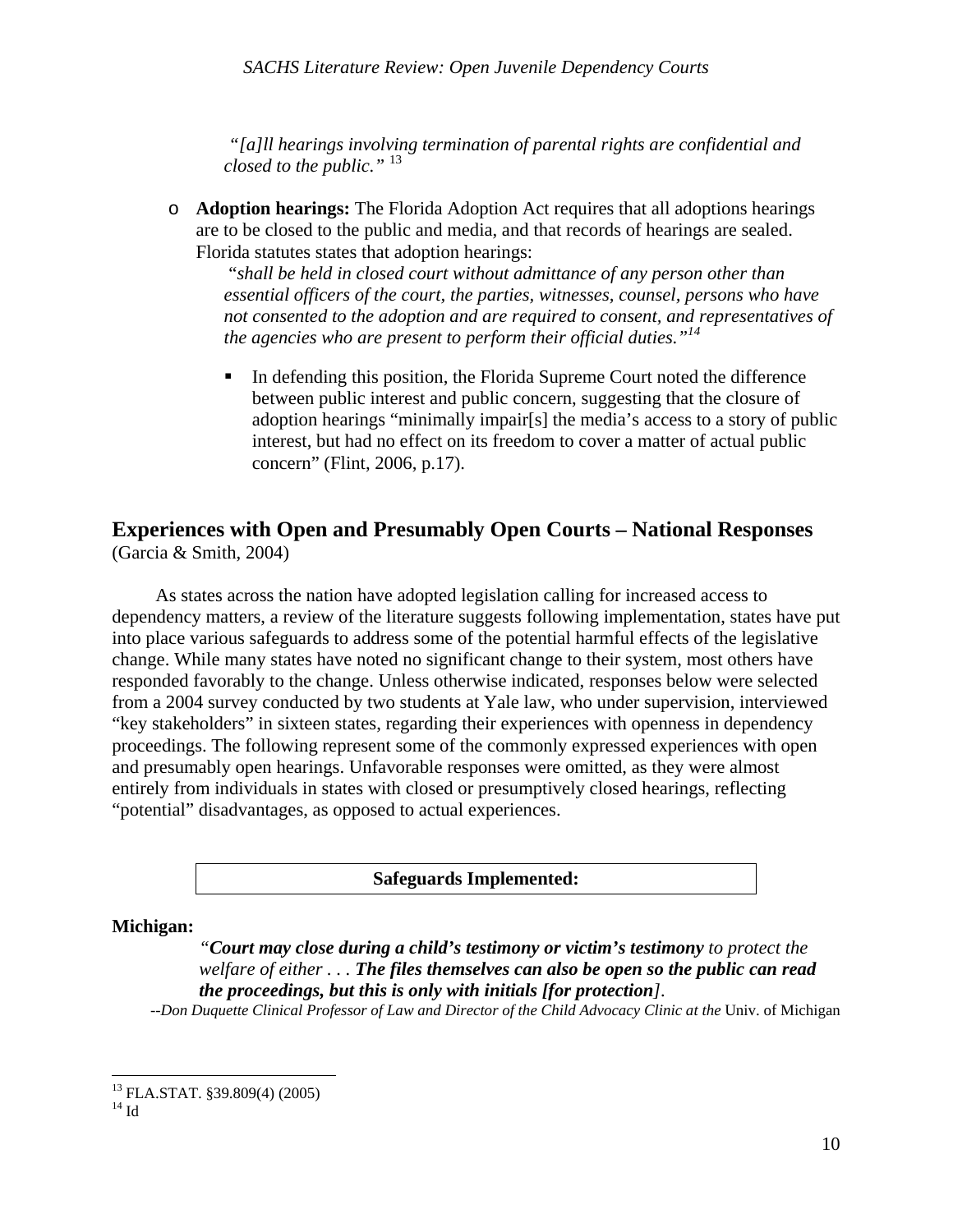*"[a]ll hearings involving termination of parental rights are confidential and closed to the public."* <sup>13</sup>

o **Adoption hearings:** The Florida Adoption Act requires that all adoptions hearings are to be closed to the public and media, and that records of hearings are sealed. Florida statutes states that adoption hearings:

 "*shall be held in closed court without admittance of any person other than essential officers of the court, the parties, witnesses, counsel, persons who have not consented to the adoption and are required to consent, and representatives of the agencies who are present to perform their official duties."14*

 In defending this position, the Florida Supreme Court noted the difference between public interest and public concern, suggesting that the closure of adoption hearings "minimally impair[s] the media's access to a story of public interest, but had no effect on its freedom to cover a matter of actual public concern" (Flint, 2006, p.17).

# **Experiences with Open and Presumably Open Courts – National Responses**

(Garcia & Smith, 2004)

 As states across the nation have adopted legislation calling for increased access to dependency matters, a review of the literature suggests following implementation, states have put into place various safeguards to address some of the potential harmful effects of the legislative change. While many states have noted no significant change to their system, most others have responded favorably to the change. Unless otherwise indicated, responses below were selected from a 2004 survey conducted by two students at Yale law, who under supervision, interviewed "key stakeholders" in sixteen states, regarding their experiences with openness in dependency proceedings. The following represent some of the commonly expressed experiences with open and presumably open hearings. Unfavorable responses were omitted, as they were almost entirely from individuals in states with closed or presumptively closed hearings, reflecting "potential" disadvantages, as opposed to actual experiences.

### **Safeguards Implemented:**

#### **Michigan:**

### *"Court may close during a child's testimony or victim's testimony to protect the welfare of either . . . The files themselves can also be open so the public can read the proceedings, but this is only with initials [for protection].*

--Don Duquette Clinical Professor of Law and Director of the Child Advocacy Clinic at the Univ. of Michigan

 $\overline{a}$ 

<sup>13</sup> FLA.STAT. §39.809(4) (2005)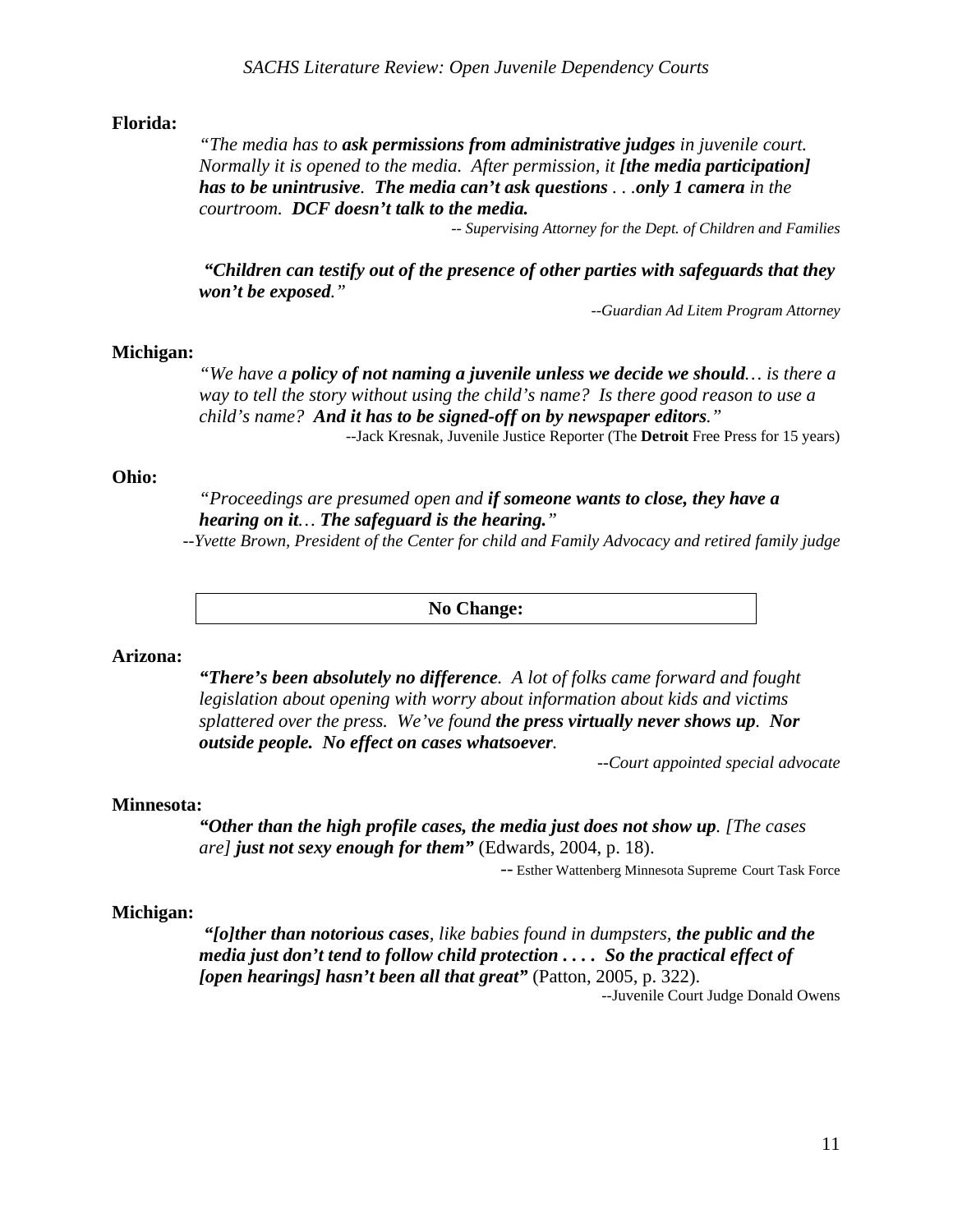#### **Florida:**

*"The media has to ask permissions from administrative judges in juvenile court. Normally it is opened to the media. After permission, it [the media participation] has to be unintrusive. The media can't ask questions . . .only 1 camera in the courtroom. DCF doesn't talk to the media.*

*-- Supervising Attorney for the Dept. of Children and Families*

 *"Children can testify out of the presence of other parties with safeguards that they won't be exposed."*

*--Guardian Ad Litem Program Attorney* 

#### **Michigan:**

*"We have a policy of not naming a juvenile unless we decide we should… is there a way to tell the story without using the child's name? Is there good reason to use a child's name? And it has to be signed-off on by newspaper editors."*  --Jack Kresnak, Juvenile Justice Reporter (The **Detroit** Free Press for 15 years)

#### **Ohio:**

*"Proceedings are presumed open and if someone wants to close, they have a hearing on it… The safeguard is the hearing."* 

*--Yvette Brown, President of the Center for child and Family Advocacy and retired family judge*

**No Change:** 

#### **Arizona:**

*"There's been absolutely no difference. A lot of folks came forward and fought legislation about opening with worry about information about kids and victims splattered over the press. We've found the press virtually never shows up. Nor outside people. No effect on cases whatsoever.* 

*--Court appointed special advocate* 

#### **Minnesota:**

*"Other than the high profile cases, the media just does not show up. [The cases are] just not sexy enough for them"* (Edwards, 2004, p. 18).

*--* Esther Wattenberg Minnesota Supreme Court Task Force

#### **Michigan:**

*"[o]ther than notorious cases, like babies found in dumpsters, the public and the media just don't tend to follow child protection . . . . So the practical effect of [open hearings] hasn't been all that great"* (Patton, 2005, p. 322).

--Juvenile Court Judge Donald Owens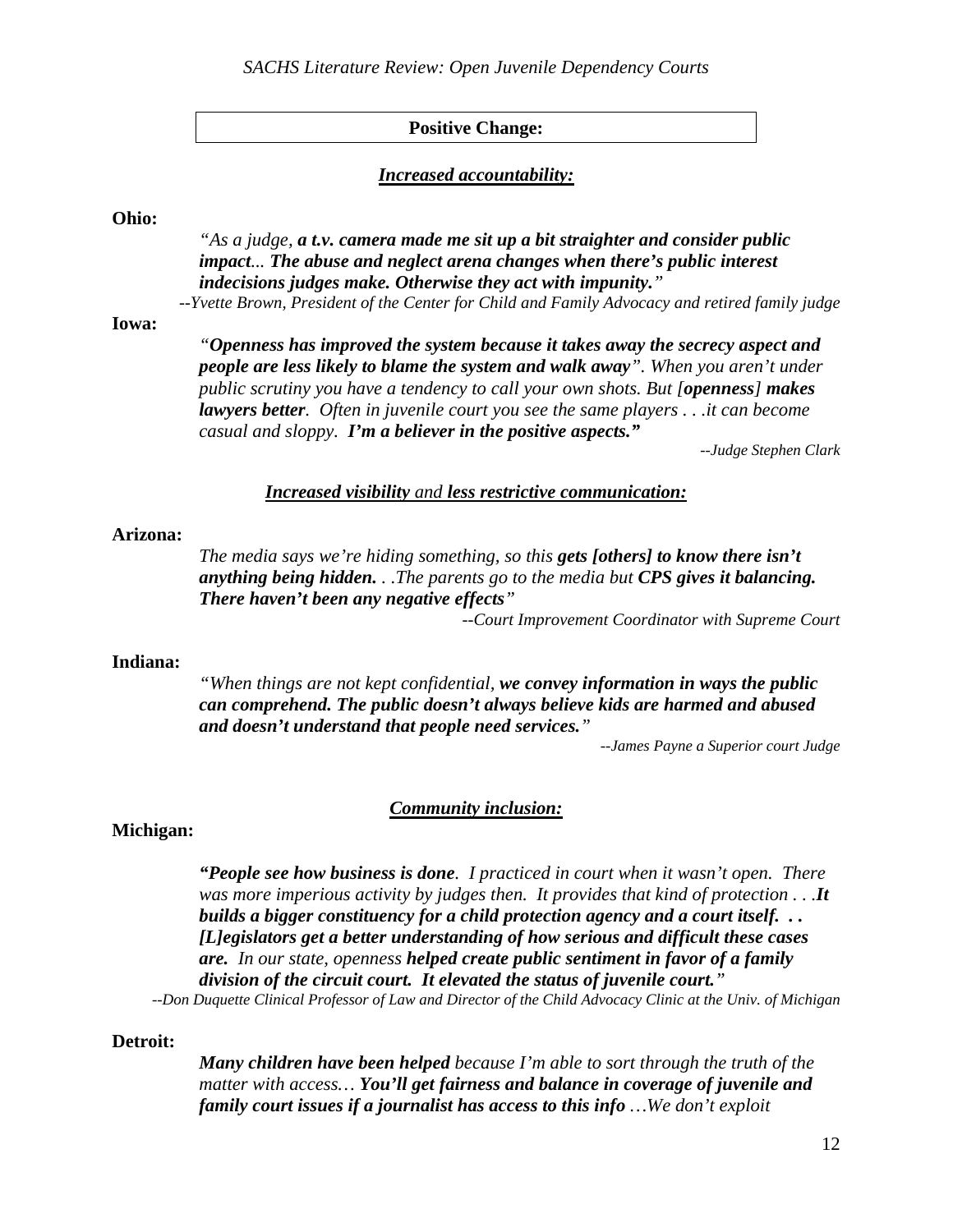### **Positive Change:**

#### *Increased accountability:*

#### **Ohio:**

*"As a judge, a t.v. camera made me sit up a bit straighter and consider public impact... The abuse and neglect arena changes when there's public interest indecisions judges make. Otherwise they act with impunity."*

*--Yvette Brown, President of the Center for Child and Family Advocacy and retired family judge* 

#### **Iowa:**

*"Openness has improved the system because it takes away the secrecy aspect and people are less likely to blame the system and walk away". When you aren't under public scrutiny you have a tendency to call your own shots. But [openness] makes lawyers better. Often in juvenile court you see the same players . . .it can become casual and sloppy. I'm a believer in the positive aspects."* 

*--Judge Stephen Clark*

### *Increased visibility and less restrictive communication:*

#### **Arizona:**

*The media says we're hiding something, so this gets [others] to know there isn't anything being hidden. . .The parents go to the media but CPS gives it balancing. There haven't been any negative effects"* 

*--Court Improvement Coordinator with Supreme Court* 

#### **Indiana:**

*"When things are not kept confidential, we convey information in ways the public can comprehend. The public doesn't always believe kids are harmed and abused and doesn't understand that people need services."* 

*--James Payne a Superior court Judge* 

#### *Community inclusion:*

#### **Michigan:**

*"People see how business is done. I practiced in court when it wasn't open. There was more imperious activity by judges then. It provides that kind of protection . . .It builds a bigger constituency for a child protection agency and a court itself. . . [L]egislators get a better understanding of how serious and difficult these cases are. In our state, openness helped create public sentiment in favor of a family division of the circuit court. It elevated the status of juvenile court."* 

*--Don Duquette Clinical Professor of Law and Director of the Child Advocacy Clinic at the Univ. of Michigan* 

#### **Detroit:**

*Many children have been helped because I'm able to sort through the truth of the matter with access… You'll get fairness and balance in coverage of juvenile and family court issues if a journalist has access to this info …We don't exploit*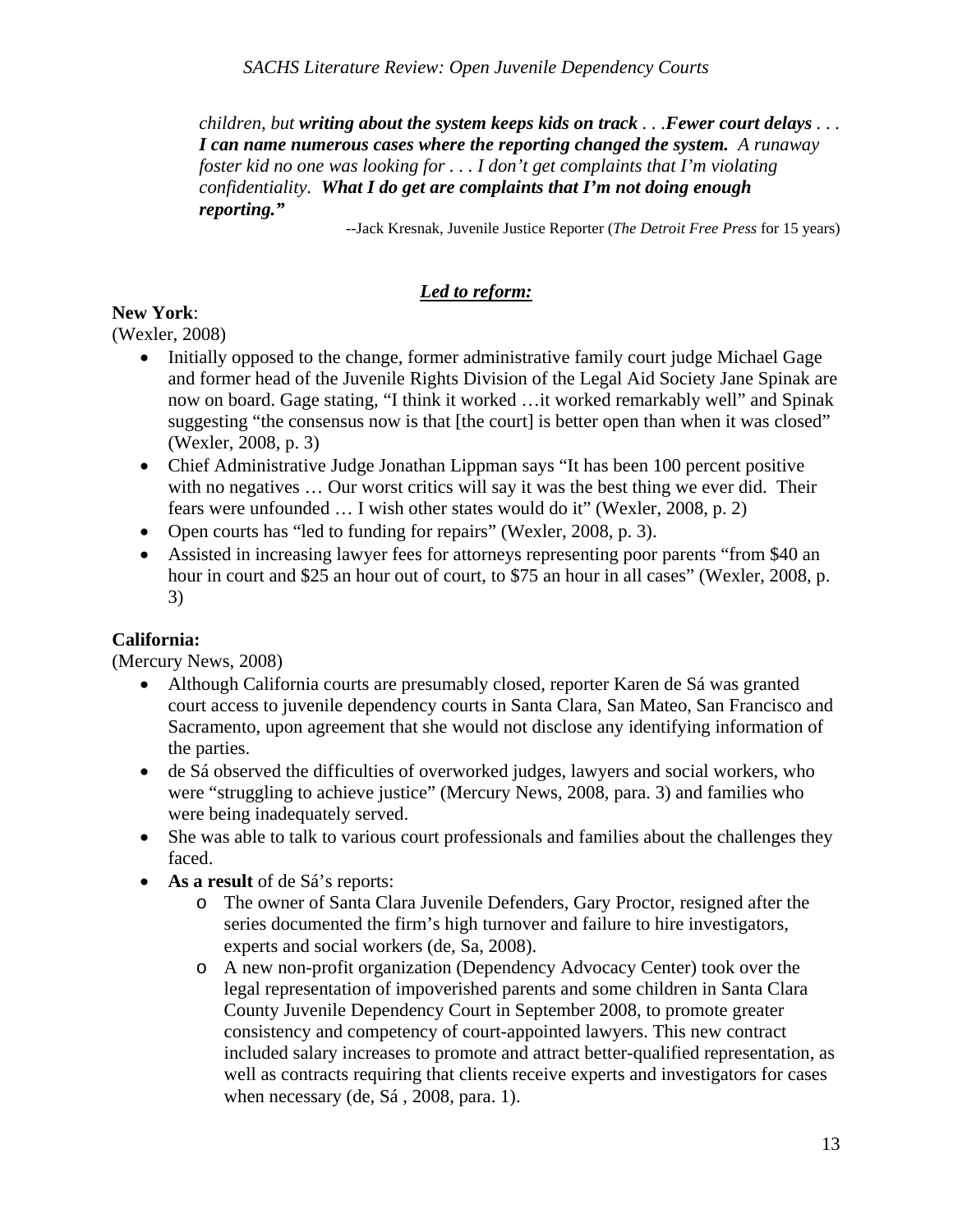*children, but writing about the system keeps kids on track . . .Fewer court delays . . . I can name numerous cases where the reporting changed the system. A runaway foster kid no one was looking for . . . I don't get complaints that I'm violating confidentiality. What I do get are complaints that I'm not doing enough reporting."* 

--Jack Kresnak, Juvenile Justice Reporter (*The Detroit Free Press* for 15 years)

## *Led to reform:*

### **New York**:

(Wexler, 2008)

- Initially opposed to the change, former administrative family court judge Michael Gage and former head of the Juvenile Rights Division of the Legal Aid Society Jane Spinak are now on board. Gage stating, "I think it worked …it worked remarkably well" and Spinak suggesting "the consensus now is that [the court] is better open than when it was closed" (Wexler, 2008, p. 3)
- Chief Administrative Judge Jonathan Lippman says "It has been 100 percent positive with no negatives ... Our worst critics will say it was the best thing we ever did. Their fears were unfounded … I wish other states would do it" (Wexler, 2008, p. 2)
- Open courts has "led to funding for repairs" (Wexler, 2008, p. 3).
- Assisted in increasing lawyer fees for attorneys representing poor parents "from \$40 an hour in court and \$25 an hour out of court, to \$75 an hour in all cases" (Wexler, 2008, p. 3)

# **California:**

(Mercury News, 2008)

- Although California courts are presumably closed, reporter Karen de Sá was granted court access to juvenile dependency courts in Santa Clara, San Mateo, San Francisco and Sacramento, upon agreement that she would not disclose any identifying information of the parties.
- de Sá observed the difficulties of overworked judges, lawyers and social workers, who were "struggling to achieve justice" (Mercury News, 2008, para. 3) and families who were being inadequately served.
- She was able to talk to various court professionals and families about the challenges they faced.
- **As a result** of de Sá's reports:
	- o The owner of Santa Clara Juvenile Defenders, Gary Proctor, resigned after the series documented the firm's high turnover and failure to hire investigators, experts and social workers (de, Sa, 2008).
	- o A new non-profit organization (Dependency Advocacy Center) took over the legal representation of impoverished parents and some children in Santa Clara County Juvenile Dependency Court in September 2008, to promote greater consistency and competency of court-appointed lawyers. This new contract included salary increases to promote and attract better-qualified representation, as well as contracts requiring that clients receive experts and investigators for cases when necessary (de, Sá , 2008, para. 1).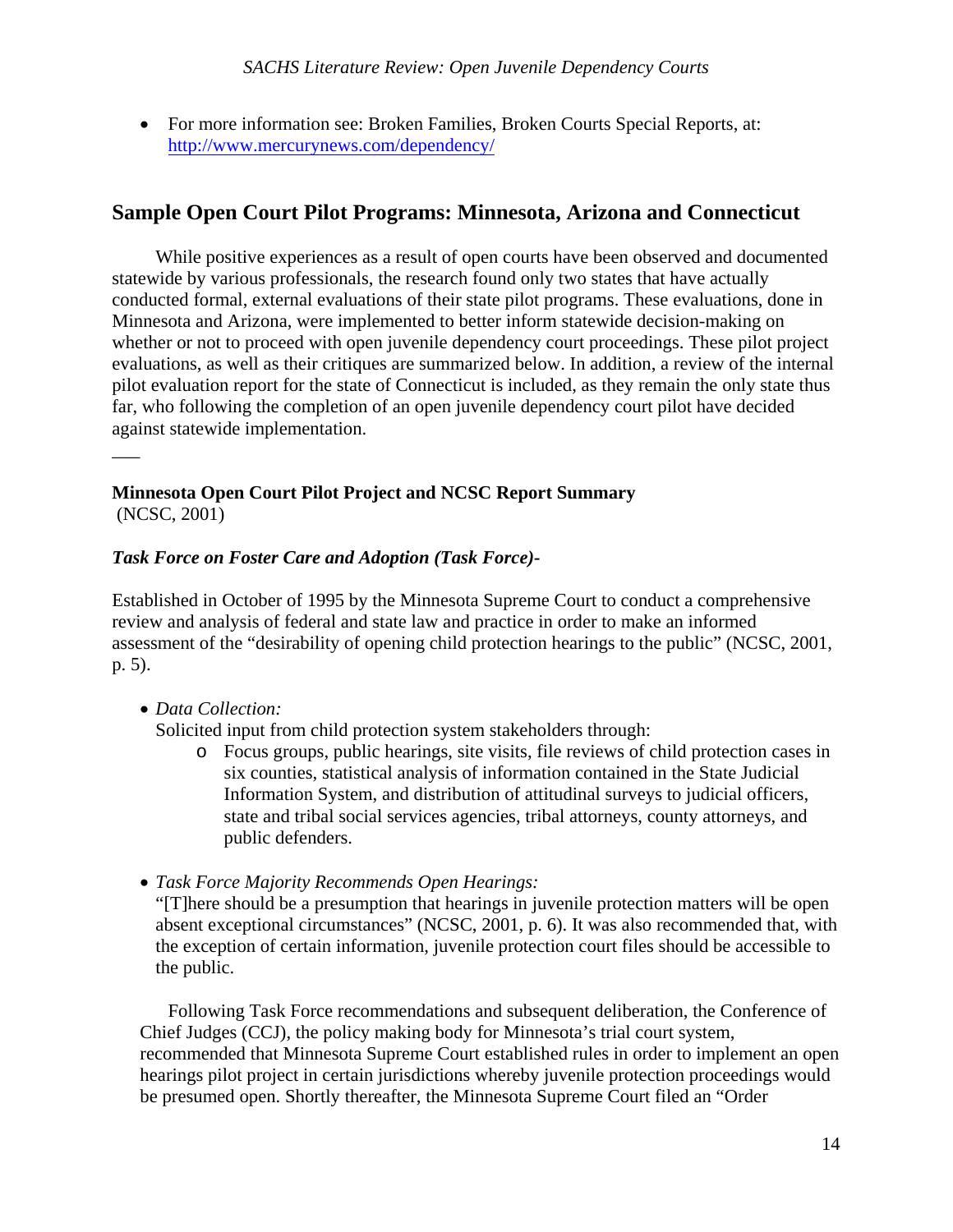For more information see: Broken Families, Broken Courts Special Reports, at: http://www.mercurynews.com/dependency/

# **Sample Open Court Pilot Programs: Minnesota, Arizona and Connecticut**

 While positive experiences as a result of open courts have been observed and documented statewide by various professionals, the research found only two states that have actually conducted formal, external evaluations of their state pilot programs. These evaluations, done in Minnesota and Arizona, were implemented to better inform statewide decision-making on whether or not to proceed with open juvenile dependency court proceedings. These pilot project evaluations, as well as their critiques are summarized below. In addition, a review of the internal pilot evaluation report for the state of Connecticut is included, as they remain the only state thus far, who following the completion of an open juvenile dependency court pilot have decided against statewide implementation.

**Minnesota Open Court Pilot Project and NCSC Report Summary**  (NCSC, 2001)

### *Task Force on Foster Care and Adoption (Task Force)-*

Established in October of 1995 by the Minnesota Supreme Court to conduct a comprehensive review and analysis of federal and state law and practice in order to make an informed assessment of the "desirability of opening child protection hearings to the public" (NCSC, 2001, p. 5).

### *Data Collection:*

 $\overline{\phantom{a}}$ 

Solicited input from child protection system stakeholders through:

- o Focus groups, public hearings, site visits, file reviews of child protection cases in six counties, statistical analysis of information contained in the State Judicial Information System, and distribution of attitudinal surveys to judicial officers, state and tribal social services agencies, tribal attorneys, county attorneys, and public defenders.
- *Task Force Majority Recommends Open Hearings:*

"[T]here should be a presumption that hearings in juvenile protection matters will be open absent exceptional circumstances" (NCSC, 2001, p. 6). It was also recommended that, with the exception of certain information, juvenile protection court files should be accessible to the public.

Following Task Force recommendations and subsequent deliberation, the Conference of Chief Judges (CCJ), the policy making body for Minnesota's trial court system, recommended that Minnesota Supreme Court established rules in order to implement an open hearings pilot project in certain jurisdictions whereby juvenile protection proceedings would be presumed open. Shortly thereafter, the Minnesota Supreme Court filed an "Order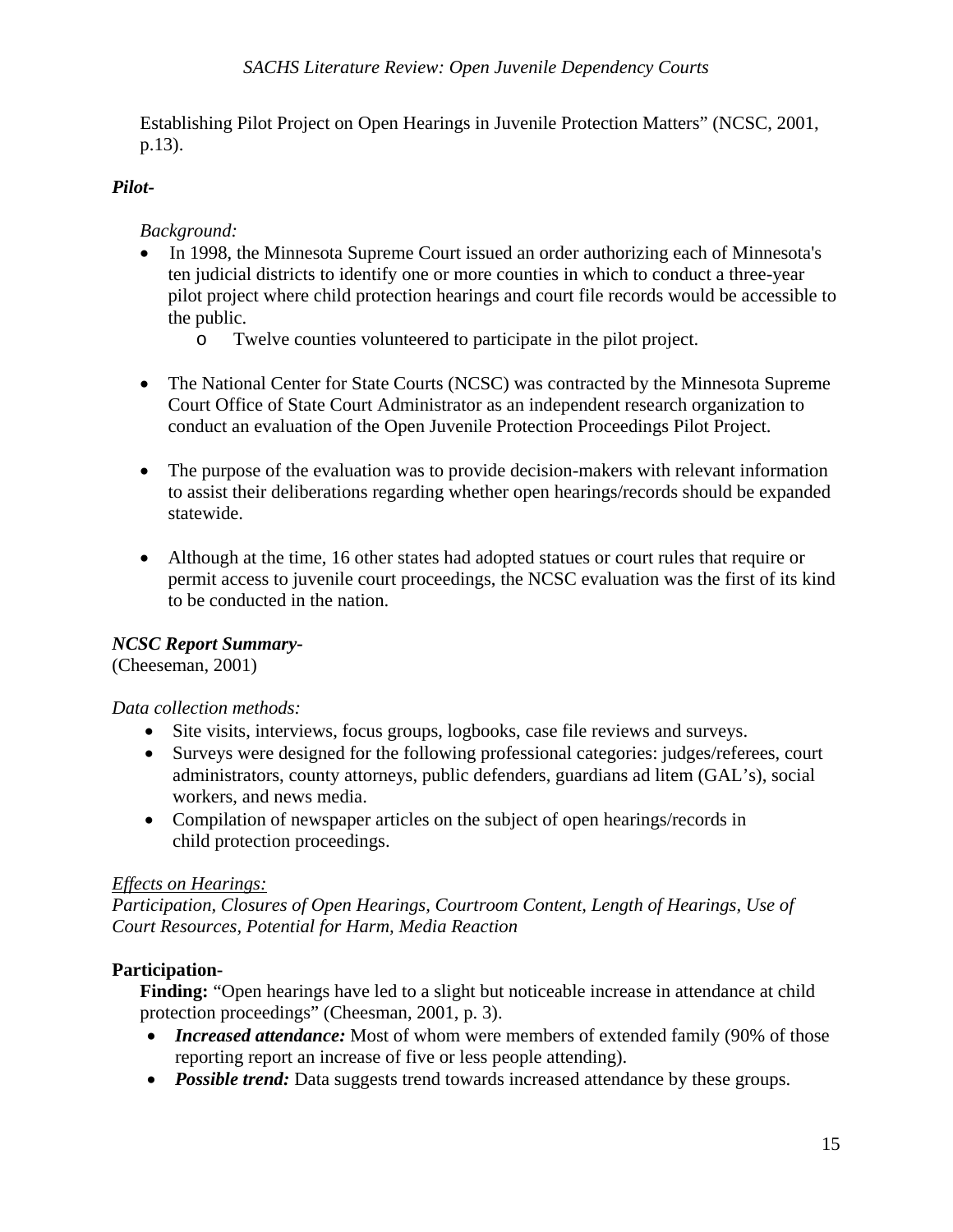Establishing Pilot Project on Open Hearings in Juvenile Protection Matters" (NCSC, 2001, p.13).

### *Pilot-*

### *Background:*

- In 1998, the Minnesota Supreme Court issued an order authorizing each of Minnesota's ten judicial districts to identify one or more counties in which to conduct a three-year pilot project where child protection hearings and court file records would be accessible to the public.
	- o Twelve counties volunteered to participate in the pilot project.
- The National Center for State Courts (NCSC) was contracted by the Minnesota Supreme Court Office of State Court Administrator as an independent research organization to conduct an evaluation of the Open Juvenile Protection Proceedings Pilot Project.
- The purpose of the evaluation was to provide decision-makers with relevant information to assist their deliberations regarding whether open hearings/records should be expanded statewide.
- Although at the time, 16 other states had adopted statues or court rules that require or permit access to juvenile court proceedings, the NCSC evaluation was the first of its kind to be conducted in the nation.

### *NCSC Report Summary-*

(Cheeseman, 2001)

### *Data collection methods:*

- Site visits, interviews, focus groups, logbooks, case file reviews and surveys.
- Surveys were designed for the following professional categories: judges/referees, court administrators, county attorneys, public defenders, guardians ad litem (GAL's), social workers, and news media.
- Compilation of newspaper articles on the subject of open hearings/records in child protection proceedings.

### *Effects on Hearings:*

*Participation, Closures of Open Hearings, Courtroom Content, Length of Hearings, Use of Court Resources, Potential for Harm, Media Reaction* 

### **Participation-**

**Finding:** "Open hearings have led to a slight but noticeable increase in attendance at child protection proceedings" (Cheesman, 2001, p. 3).

- *Increased attendance:* Most of whom were members of extended family (90% of those reporting report an increase of five or less people attending).
- *Possible trend:* Data suggests trend towards increased attendance by these groups.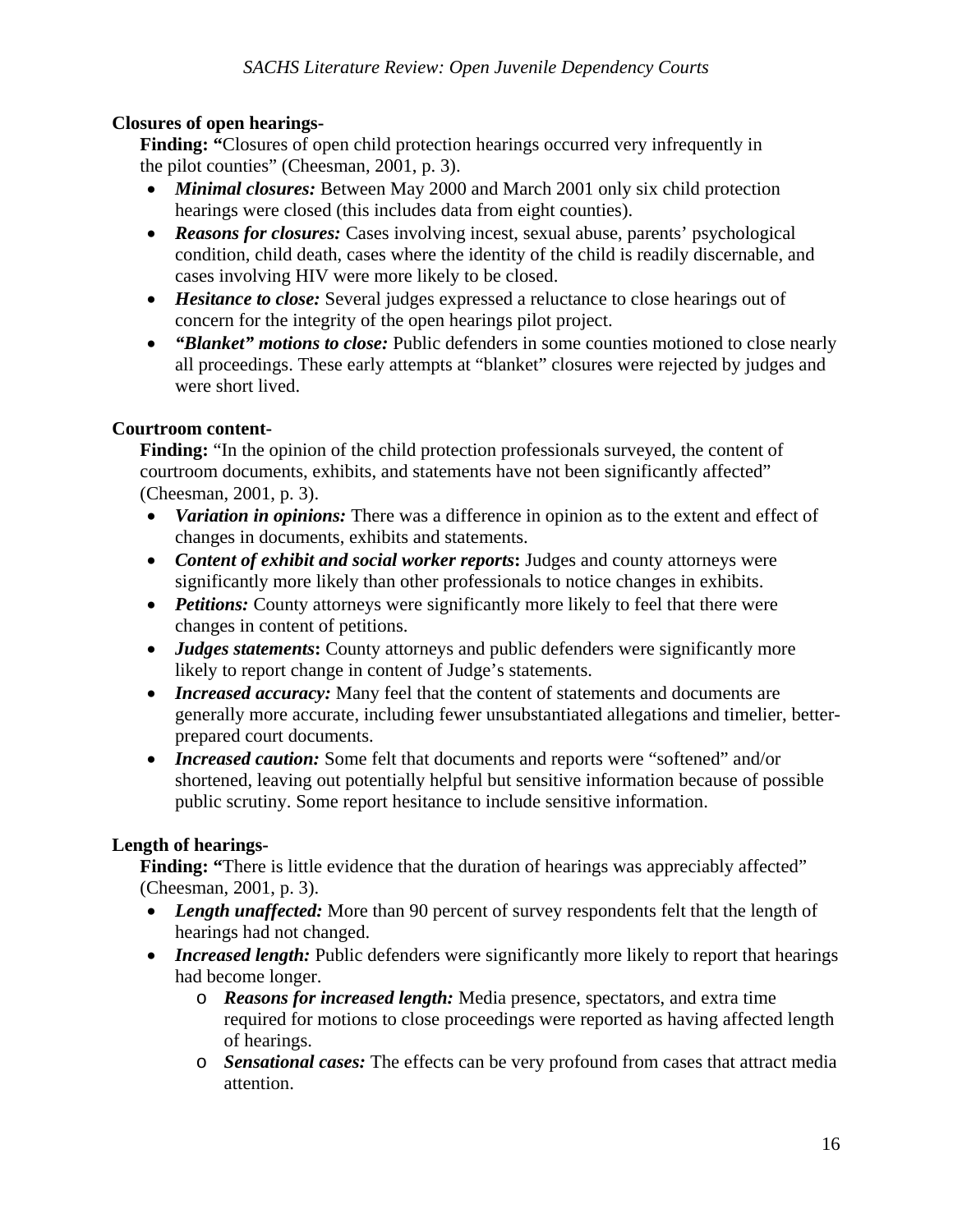### **Closures of open hearings-**

**Finding: "Closures of open child protection hearings occurred very infrequently in** the pilot counties" (Cheesman, 2001, p. 3).

- *Minimal closures:* Between May 2000 and March 2001 only six child protection hearings were closed (this includes data from eight counties).
- *Reasons for closures:* Cases involving incest, sexual abuse, parents' psychological condition, child death, cases where the identity of the child is readily discernable, and cases involving HIV were more likely to be closed.
- *Hesitance to close:* Several judges expressed a reluctance to close hearings out of concern for the integrity of the open hearings pilot project.
- *"Blanket" motions to close:* Public defenders in some counties motioned to close nearly all proceedings. These early attempts at "blanket" closures were rejected by judges and were short lived.

### **Courtroom content-**

**Finding:** "In the opinion of the child protection professionals surveyed, the content of courtroom documents, exhibits, and statements have not been significantly affected" (Cheesman, 2001, p. 3).

- *Variation in opinions:* There was a difference in opinion as to the extent and effect of changes in documents, exhibits and statements.
- *Content of exhibit and social worker reports***:** Judges and county attorneys were significantly more likely than other professionals to notice changes in exhibits.
- *Petitions:* County attorneys were significantly more likely to feel that there were changes in content of petitions.
- *Judges statements*: County attorneys and public defenders were significantly more likely to report change in content of Judge's statements.
- *Increased accuracy:* Many feel that the content of statements and documents are generally more accurate, including fewer unsubstantiated allegations and timelier, betterprepared court documents.
- *Increased caution:* Some felt that documents and reports were "softened" and/or shortened, leaving out potentially helpful but sensitive information because of possible public scrutiny. Some report hesitance to include sensitive information.

### **Length of hearings-**

**Finding:** "There is little evidence that the duration of hearings was appreciably affected" (Cheesman, 2001, p. 3).

- Length unaffected: More than 90 percent of survey respondents felt that the length of hearings had not changed.
- *Increased length:* Public defenders were significantly more likely to report that hearings had become longer.
	- o *Reasons for increased length:* Media presence, spectators, and extra time required for motions to close proceedings were reported as having affected length of hearings.
	- o *Sensational cases:* The effects can be very profound from cases that attract media attention.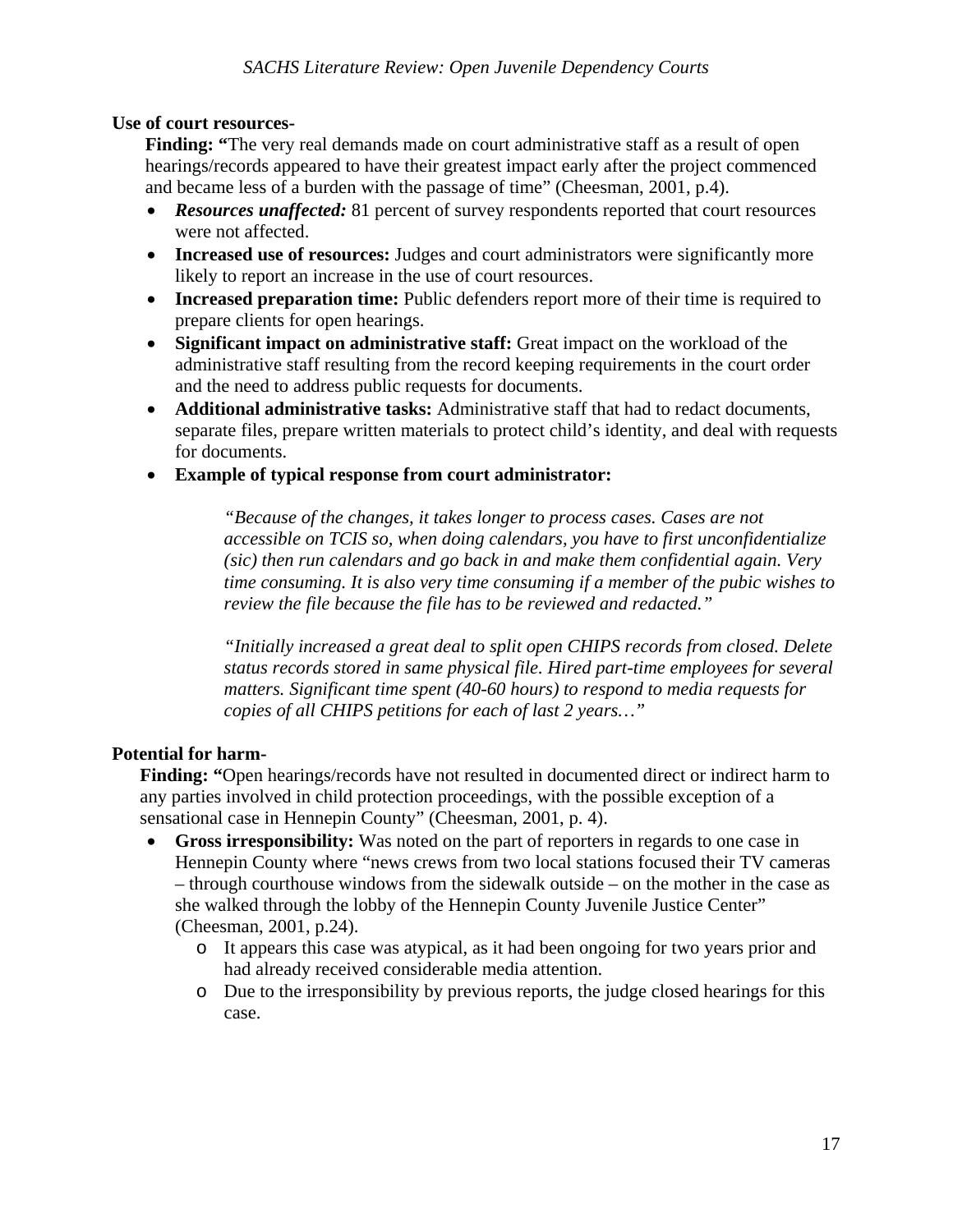### **Use of court resources-**

**Finding:** "The very real demands made on court administrative staff as a result of open hearings/records appeared to have their greatest impact early after the project commenced and became less of a burden with the passage of time" (Cheesman, 2001, p.4).

- *Resources unaffected:* 81 percent of survey respondents reported that court resources were not affected.
- **Increased use of resources:** Judges and court administrators were significantly more likely to report an increase in the use of court resources.
- **Increased preparation time:** Public defenders report more of their time is required to prepare clients for open hearings.
- **Significant impact on administrative staff:** Great impact on the workload of the administrative staff resulting from the record keeping requirements in the court order and the need to address public requests for documents.
- **Additional administrative tasks:** Administrative staff that had to redact documents, separate files, prepare written materials to protect child's identity, and deal with requests for documents.
- **Example of typical response from court administrator:**

*"Because of the changes, it takes longer to process cases. Cases are not accessible on TCIS so, when doing calendars, you have to first unconfidentialize (sic) then run calendars and go back in and make them confidential again. Very time consuming. It is also very time consuming if a member of the pubic wishes to review the file because the file has to be reviewed and redacted."* 

*"Initially increased a great deal to split open CHIPS records from closed. Delete status records stored in same physical file. Hired part-time employees for several matters. Significant time spent (40-60 hours) to respond to media requests for copies of all CHIPS petitions for each of last 2 years…"* 

### **Potential for harm-**

**Finding: "**Open hearings/records have not resulted in documented direct or indirect harm to any parties involved in child protection proceedings, with the possible exception of a sensational case in Hennepin County" (Cheesman, 2001, p. 4).

- **Gross irresponsibility:** Was noted on the part of reporters in regards to one case in Hennepin County where "news crews from two local stations focused their TV cameras – through courthouse windows from the sidewalk outside – on the mother in the case as she walked through the lobby of the Hennepin County Juvenile Justice Center" (Cheesman, 2001, p.24).
	- o It appears this case was atypical, as it had been ongoing for two years prior and had already received considerable media attention.
	- o Due to the irresponsibility by previous reports, the judge closed hearings for this case.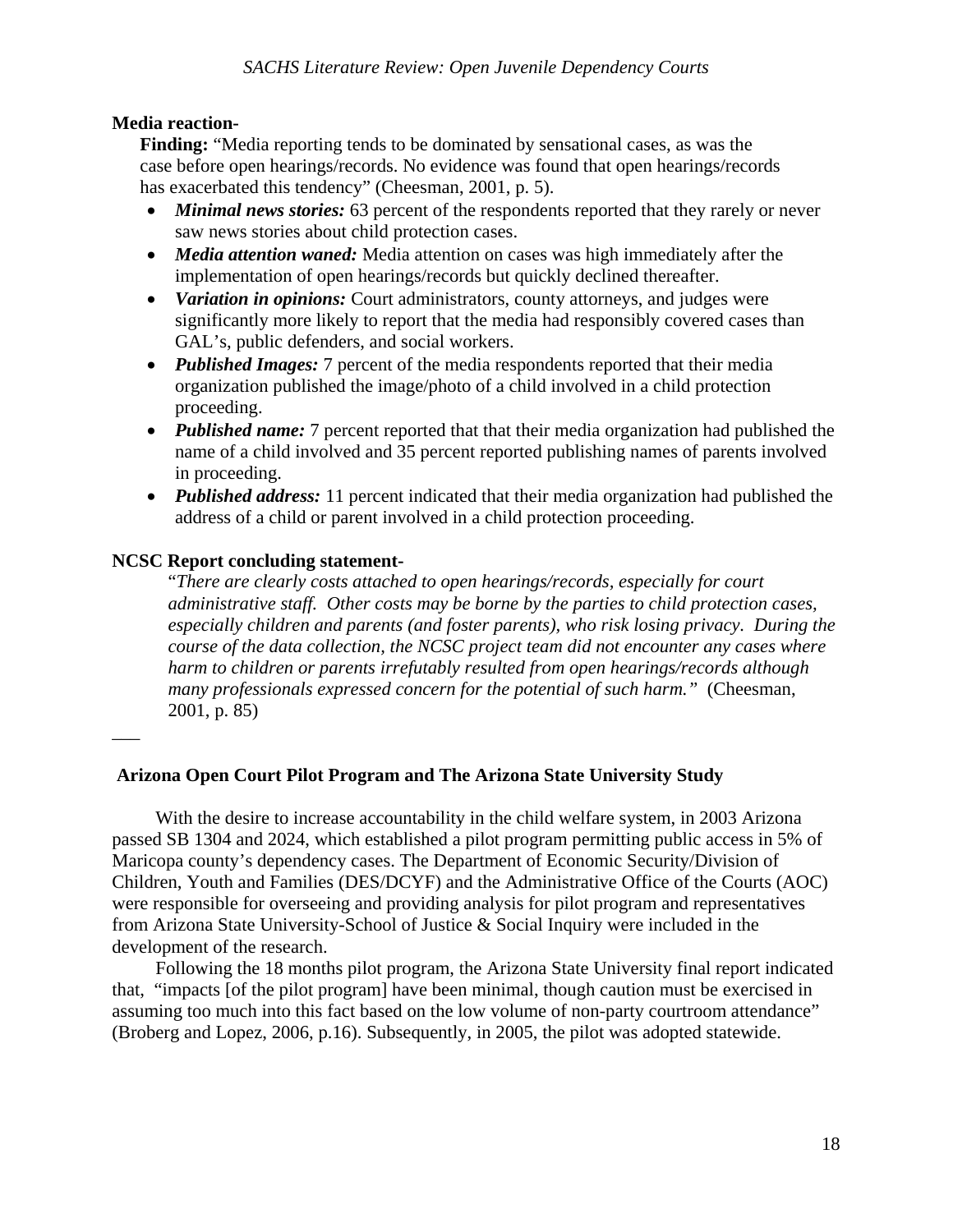### **Media reaction-**

**Finding:** "Media reporting tends to be dominated by sensational cases, as was the case before open hearings/records. No evidence was found that open hearings/records has exacerbated this tendency" (Cheesman, 2001, p. 5).

- *Minimal news stories:* 63 percent of the respondents reported that they rarely or never saw news stories about child protection cases.
- *Media attention waned:* Media attention on cases was high immediately after the implementation of open hearings/records but quickly declined thereafter.
- *Variation in opinions:* Court administrators, county attorneys, and judges were significantly more likely to report that the media had responsibly covered cases than GAL's, public defenders, and social workers.
- *Published Images:* 7 percent of the media respondents reported that their media organization published the image/photo of a child involved in a child protection proceeding.
- *Published name:* 7 percent reported that that their media organization had published the name of a child involved and 35 percent reported publishing names of parents involved in proceeding.
- *Published address:* 11 percent indicated that their media organization had published the address of a child or parent involved in a child protection proceeding.

### **NCSC Report concluding statement-**

\_\_\_

"*There are clearly costs attached to open hearings/records, especially for court administrative staff. Other costs may be borne by the parties to child protection cases, especially children and parents (and foster parents), who risk losing privacy. During the course of the data collection, the NCSC project team did not encounter any cases where harm to children or parents irrefutably resulted from open hearings/records although many professionals expressed concern for the potential of such harm."* (Cheesman, 2001, p. 85)

### **Arizona Open Court Pilot Program and The Arizona State University Study**

 With the desire to increase accountability in the child welfare system, in 2003 Arizona passed SB 1304 and 2024, which established a pilot program permitting public access in 5% of Maricopa county's dependency cases. The Department of Economic Security/Division of Children, Youth and Families (DES/DCYF) and the Administrative Office of the Courts (AOC) were responsible for overseeing and providing analysis for pilot program and representatives from Arizona State University-School of Justice & Social Inquiry were included in the development of the research.

 Following the 18 months pilot program, the Arizona State University final report indicated that, "impacts [of the pilot program] have been minimal, though caution must be exercised in assuming too much into this fact based on the low volume of non-party courtroom attendance" (Broberg and Lopez, 2006, p.16). Subsequently, in 2005, the pilot was adopted statewide.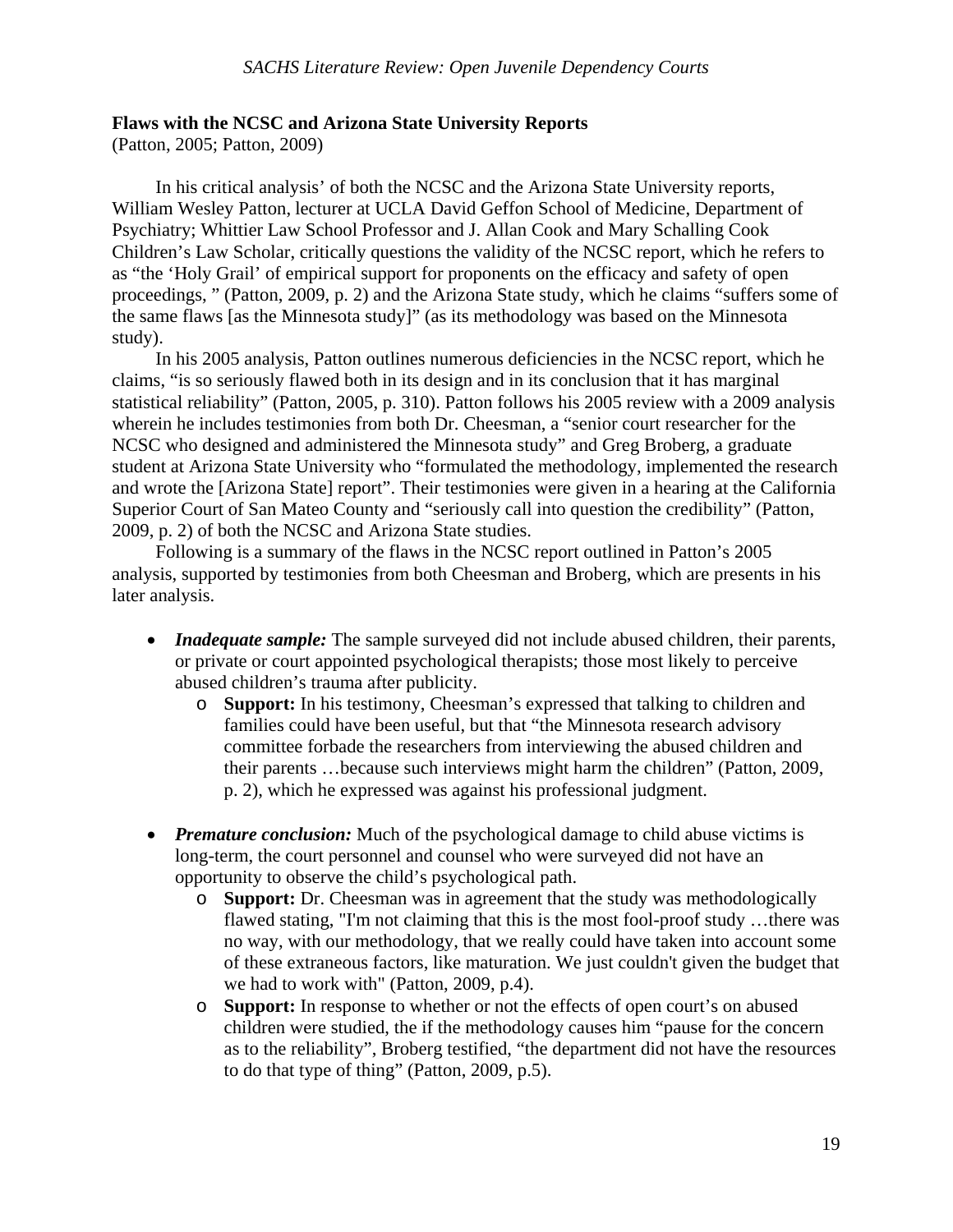### **Flaws with the NCSC and Arizona State University Reports**

(Patton, 2005; Patton, 2009)

 In his critical analysis' of both the NCSC and the Arizona State University reports, William Wesley Patton, lecturer at UCLA David Geffon School of Medicine, Department of Psychiatry; Whittier Law School Professor and J. Allan Cook and Mary Schalling Cook Children's Law Scholar, critically questions the validity of the NCSC report, which he refers to as "the 'Holy Grail' of empirical support for proponents on the efficacy and safety of open proceedings, " (Patton, 2009, p. 2) and the Arizona State study, which he claims "suffers some of the same flaws [as the Minnesota study]" (as its methodology was based on the Minnesota study).

 In his 2005 analysis, Patton outlines numerous deficiencies in the NCSC report, which he claims, "is so seriously flawed both in its design and in its conclusion that it has marginal statistical reliability" (Patton, 2005, p. 310). Patton follows his 2005 review with a 2009 analysis wherein he includes testimonies from both Dr. Cheesman, a "senior court researcher for the NCSC who designed and administered the Minnesota study" and Greg Broberg, a graduate student at Arizona State University who "formulated the methodology, implemented the research and wrote the [Arizona State] report". Their testimonies were given in a hearing at the California Superior Court of San Mateo County and "seriously call into question the credibility" (Patton, 2009, p. 2) of both the NCSC and Arizona State studies.

 Following is a summary of the flaws in the NCSC report outlined in Patton's 2005 analysis, supported by testimonies from both Cheesman and Broberg, which are presents in his later analysis.

- *Inadequate sample:* The sample surveyed did not include abused children, their parents, or private or court appointed psychological therapists; those most likely to perceive abused children's trauma after publicity.
	- o **Support:** In his testimony, Cheesman's expressed that talking to children and families could have been useful, but that "the Minnesota research advisory committee forbade the researchers from interviewing the abused children and their parents …because such interviews might harm the children" (Patton, 2009, p. 2), which he expressed was against his professional judgment.
- *Premature conclusion:* Much of the psychological damage to child abuse victims is long-term, the court personnel and counsel who were surveyed did not have an opportunity to observe the child's psychological path.
	- o **Support:** Dr. Cheesman was in agreement that the study was methodologically flawed stating, "I'm not claiming that this is the most fool-proof study …there was no way, with our methodology, that we really could have taken into account some of these extraneous factors, like maturation. We just couldn't given the budget that we had to work with" (Patton, 2009, p.4).
	- o **Support:** In response to whether or not the effects of open court's on abused children were studied, the if the methodology causes him "pause for the concern as to the reliability", Broberg testified, "the department did not have the resources to do that type of thing" (Patton, 2009, p.5).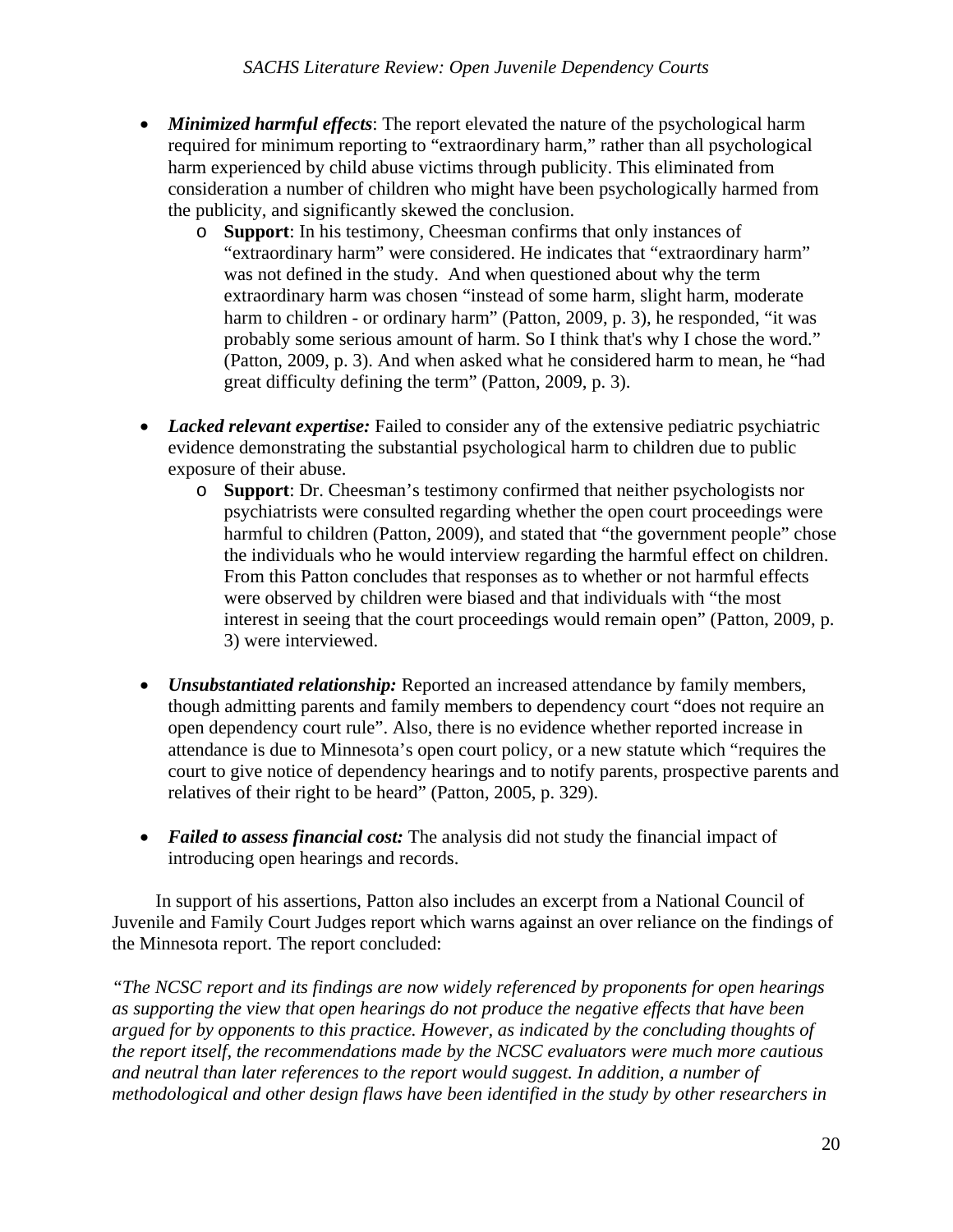- *Minimized harmful effects*: The report elevated the nature of the psychological harm required for minimum reporting to "extraordinary harm," rather than all psychological harm experienced by child abuse victims through publicity. This eliminated from consideration a number of children who might have been psychologically harmed from the publicity, and significantly skewed the conclusion.
	- o **Support**: In his testimony, Cheesman confirms that only instances of "extraordinary harm" were considered. He indicates that "extraordinary harm" was not defined in the study. And when questioned about why the term extraordinary harm was chosen "instead of some harm, slight harm, moderate harm to children - or ordinary harm" (Patton, 2009, p. 3), he responded, "it was probably some serious amount of harm. So I think that's why I chose the word." (Patton, 2009, p. 3). And when asked what he considered harm to mean, he "had great difficulty defining the term" (Patton, 2009, p. 3).
- *Lacked relevant expertise:* Failed to consider any of the extensive pediatric psychiatric evidence demonstrating the substantial psychological harm to children due to public exposure of their abuse.
	- o **Support**: Dr. Cheesman's testimony confirmed that neither psychologists nor psychiatrists were consulted regarding whether the open court proceedings were harmful to children (Patton, 2009), and stated that "the government people" chose the individuals who he would interview regarding the harmful effect on children. From this Patton concludes that responses as to whether or not harmful effects were observed by children were biased and that individuals with "the most interest in seeing that the court proceedings would remain open" (Patton, 2009, p. 3) were interviewed.
- *Unsubstantiated relationship:* Reported an increased attendance by family members, though admitting parents and family members to dependency court "does not require an open dependency court rule". Also, there is no evidence whether reported increase in attendance is due to Minnesota's open court policy, or a new statute which "requires the court to give notice of dependency hearings and to notify parents, prospective parents and relatives of their right to be heard" (Patton, 2005, p. 329).
- *Failed to assess financial cost:* The analysis did not study the financial impact of introducing open hearings and records.

 In support of his assertions, Patton also includes an excerpt from a National Council of Juvenile and Family Court Judges report which warns against an over reliance on the findings of the Minnesota report. The report concluded:

*"The NCSC report and its findings are now widely referenced by proponents for open hearings as supporting the view that open hearings do not produce the negative effects that have been argued for by opponents to this practice. However, as indicated by the concluding thoughts of the report itself, the recommendations made by the NCSC evaluators were much more cautious and neutral than later references to the report would suggest. In addition, a number of methodological and other design flaws have been identified in the study by other researchers in*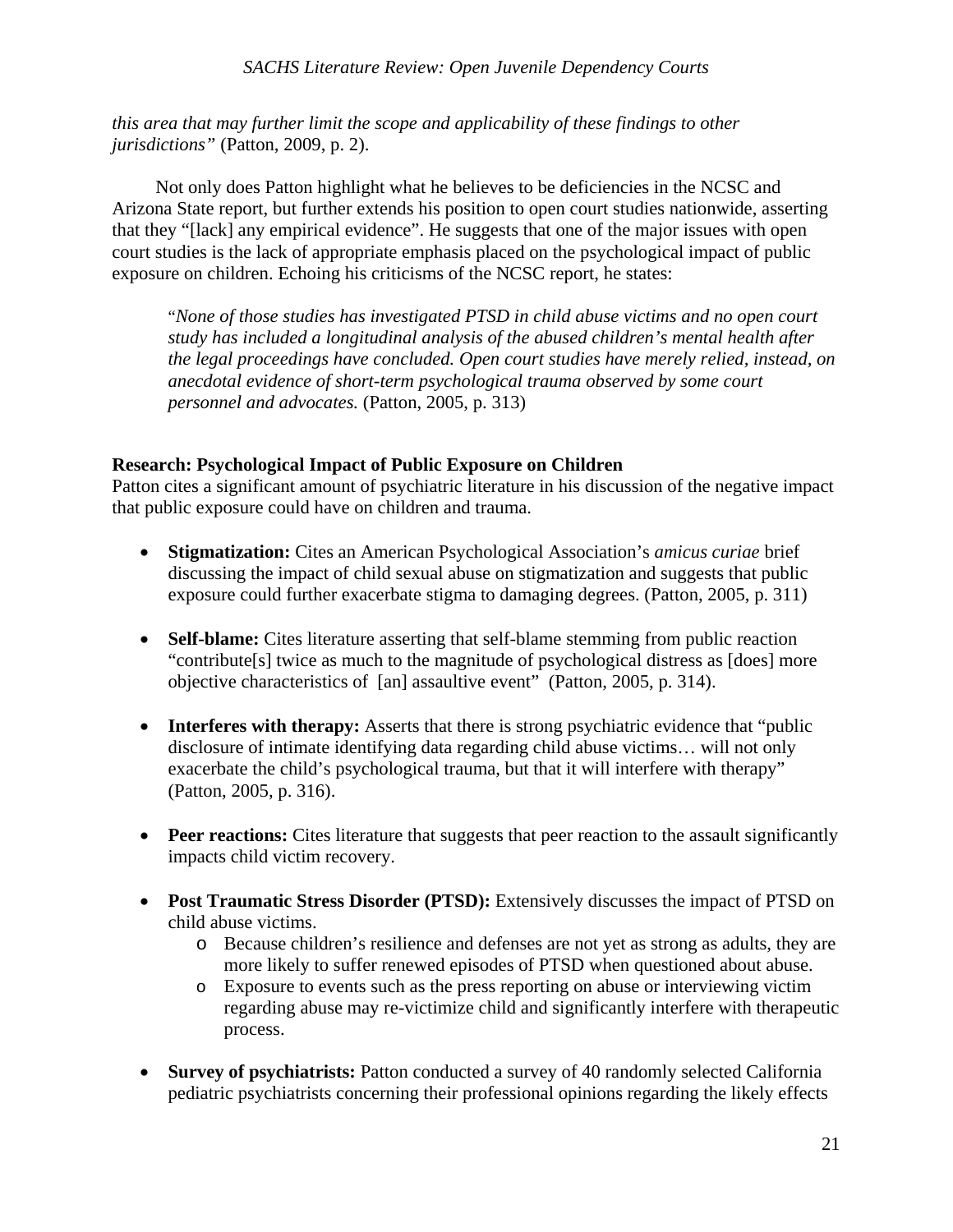*this area that may further limit the scope and applicability of these findings to other jurisdictions"* (Patton, 2009, p. 2).

 Not only does Patton highlight what he believes to be deficiencies in the NCSC and Arizona State report, but further extends his position to open court studies nationwide, asserting that they "[lack] any empirical evidence". He suggests that one of the major issues with open court studies is the lack of appropriate emphasis placed on the psychological impact of public exposure on children. Echoing his criticisms of the NCSC report, he states:

"*None of those studies has investigated PTSD in child abuse victims and no open court study has included a longitudinal analysis of the abused children's mental health after the legal proceedings have concluded. Open court studies have merely relied, instead, on anecdotal evidence of short-term psychological trauma observed by some court personnel and advocates.* (Patton, 2005, p. 313)

### **Research: Psychological Impact of Public Exposure on Children**

Patton cites a significant amount of psychiatric literature in his discussion of the negative impact that public exposure could have on children and trauma.

- **Stigmatization:** Cites an American Psychological Association's *amicus curiae* brief discussing the impact of child sexual abuse on stigmatization and suggests that public exposure could further exacerbate stigma to damaging degrees. (Patton, 2005, p. 311)
- **Self-blame:** Cites literature asserting that self-blame stemming from public reaction "contribute[s] twice as much to the magnitude of psychological distress as [does] more objective characteristics of [an] assaultive event" (Patton, 2005, p. 314).
- **Interferes with therapy:** Asserts that there is strong psychiatric evidence that "public" disclosure of intimate identifying data regarding child abuse victims… will not only exacerbate the child's psychological trauma, but that it will interfere with therapy" (Patton, 2005, p. 316).
- Peer reactions: Cites literature that suggests that peer reaction to the assault significantly impacts child victim recovery.
- Post Traumatic Stress Disorder (PTSD): Extensively discusses the impact of PTSD on child abuse victims.
	- o Because children's resilience and defenses are not yet as strong as adults, they are more likely to suffer renewed episodes of PTSD when questioned about abuse.
	- o Exposure to events such as the press reporting on abuse or interviewing victim regarding abuse may re-victimize child and significantly interfere with therapeutic process.
- **Survey of psychiatrists:** Patton conducted a survey of 40 randomly selected California pediatric psychiatrists concerning their professional opinions regarding the likely effects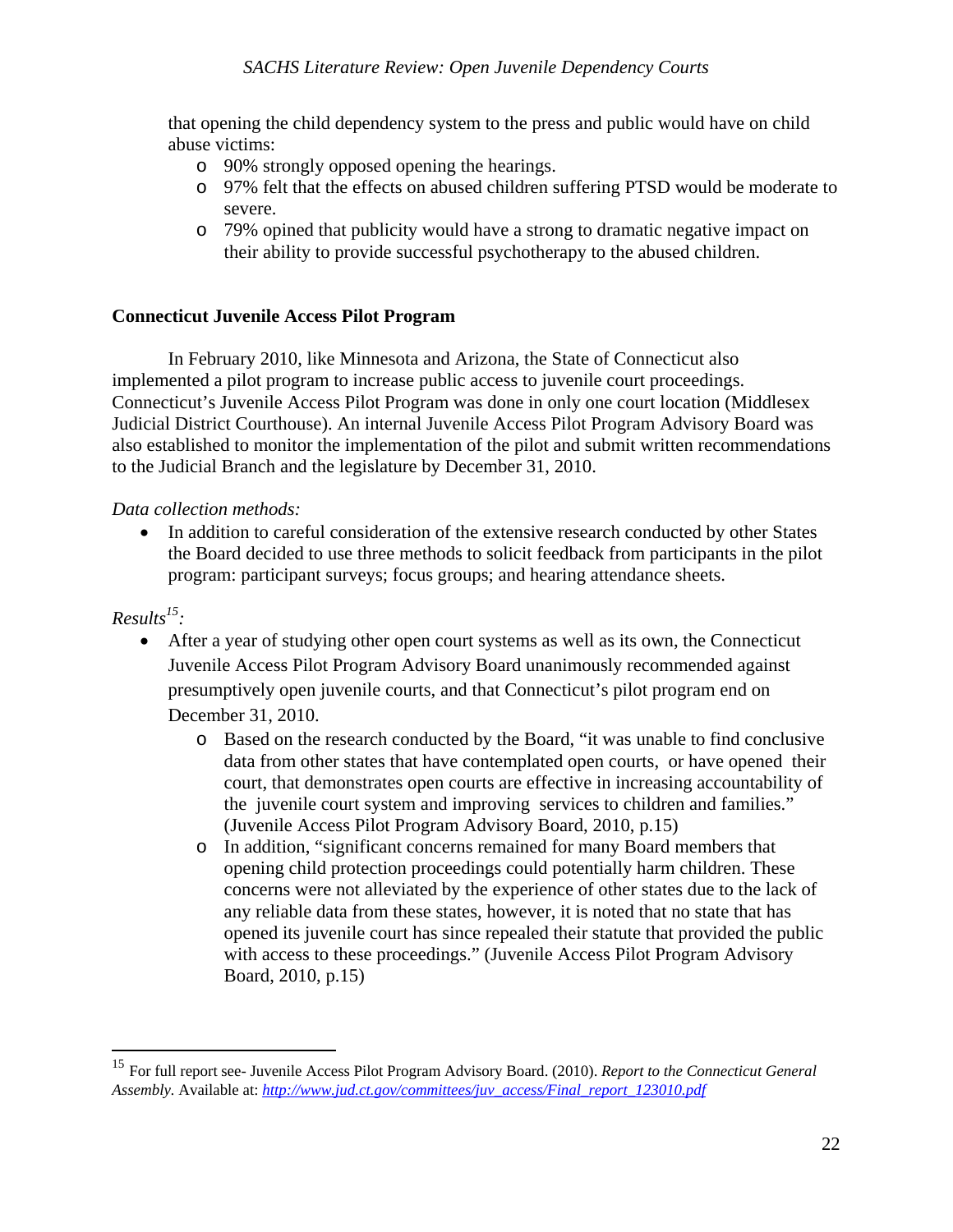that opening the child dependency system to the press and public would have on child abuse victims:

- o 90% strongly opposed opening the hearings.
- o 97% felt that the effects on abused children suffering PTSD would be moderate to severe.
- o 79% opined that publicity would have a strong to dramatic negative impact on their ability to provide successful psychotherapy to the abused children.

### **Connecticut Juvenile Access Pilot Program**

In February 2010, like Minnesota and Arizona, the State of Connecticut also implemented a pilot program to increase public access to juvenile court proceedings. Connecticut's Juvenile Access Pilot Program was done in only one court location (Middlesex Judicial District Courthouse). An internal Juvenile Access Pilot Program Advisory Board was also established to monitor the implementation of the pilot and submit written recommendations to the Judicial Branch and the legislature by December 31, 2010.

### *Data collection methods:*

• In addition to careful consideration of the extensive research conducted by other States the Board decided to use three methods to solicit feedback from participants in the pilot program: participant surveys; focus groups; and hearing attendance sheets.

### *Results15 :*

 $\overline{a}$ 

- After a year of studying other open court systems as well as its own, the Connecticut Juvenile Access Pilot Program Advisory Board unanimously recommended against presumptively open juvenile courts, and that Connecticut's pilot program end on December 31, 2010.
	- o Based on the research conducted by the Board, "it was unable to find conclusive data from other states that have contemplated open courts, or have opened their court, that demonstrates open courts are effective in increasing accountability of the juvenile court system and improving services to children and families." (Juvenile Access Pilot Program Advisory Board, 2010, p.15)
	- o In addition, "significant concerns remained for many Board members that opening child protection proceedings could potentially harm children. These concerns were not alleviated by the experience of other states due to the lack of any reliable data from these states, however, it is noted that no state that has opened its juvenile court has since repealed their statute that provided the public with access to these proceedings." (Juvenile Access Pilot Program Advisory Board, 2010, p.15)

<sup>15</sup> For full report see- Juvenile Access Pilot Program Advisory Board. (2010). *Report to the Connecticut General Assembly.* Available at: *http://www.jud.ct.gov/committees/juv\_access/Final\_report\_123010.pdf*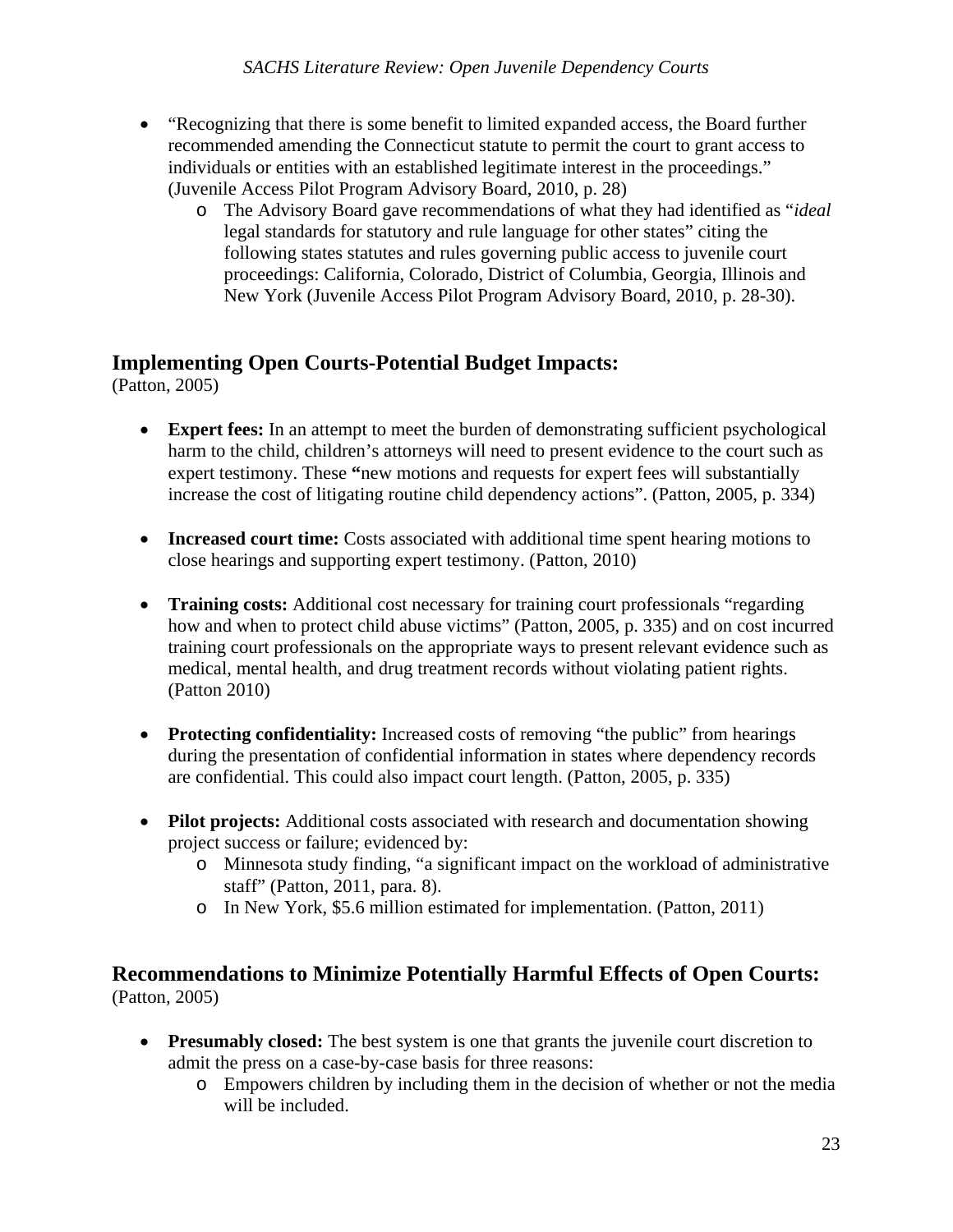- "Recognizing that there is some benefit to limited expanded access, the Board further recommended amending the Connecticut statute to permit the court to grant access to individuals or entities with an established legitimate interest in the proceedings." (Juvenile Access Pilot Program Advisory Board, 2010, p. 28)
	- o The Advisory Board gave recommendations of what they had identified as "*ideal* legal standards for statutory and rule language for other states" citing the following states statutes and rules governing public access to juvenile court proceedings: California, Colorado, District of Columbia, Georgia, Illinois and New York (Juvenile Access Pilot Program Advisory Board, 2010, p. 28-30).

# **Implementing Open Courts-Potential Budget Impacts:**

(Patton, 2005)

- **Expert fees:** In an attempt to meet the burden of demonstrating sufficient psychological harm to the child, children's attorneys will need to present evidence to the court such as expert testimony. These **"**new motions and requests for expert fees will substantially increase the cost of litigating routine child dependency actions". (Patton, 2005, p. 334)
- **Increased court time:** Costs associated with additional time spent hearing motions to close hearings and supporting expert testimony. (Patton, 2010)
- **Training costs:** Additional cost necessary for training court professionals "regarding" how and when to protect child abuse victims" (Patton, 2005, p. 335) and on cost incurred training court professionals on the appropriate ways to present relevant evidence such as medical, mental health, and drug treatment records without violating patient rights. (Patton 2010)
- **Protecting confidentiality:** Increased costs of removing "the public" from hearings during the presentation of confidential information in states where dependency records are confidential. This could also impact court length. (Patton, 2005, p. 335)
- Pilot projects: Additional costs associated with research and documentation showing project success or failure; evidenced by:
	- o Minnesota study finding, "a significant impact on the workload of administrative staff" (Patton, 2011, para. 8).
	- o In New York, \$5.6 million estimated for implementation. (Patton, 2011)

### **Recommendations to Minimize Potentially Harmful Effects of Open Courts:**  (Patton, 2005)

- **Presumably closed:** The best system is one that grants the juvenile court discretion to admit the press on a case-by-case basis for three reasons:
	- o Empowers children by including them in the decision of whether or not the media will be included.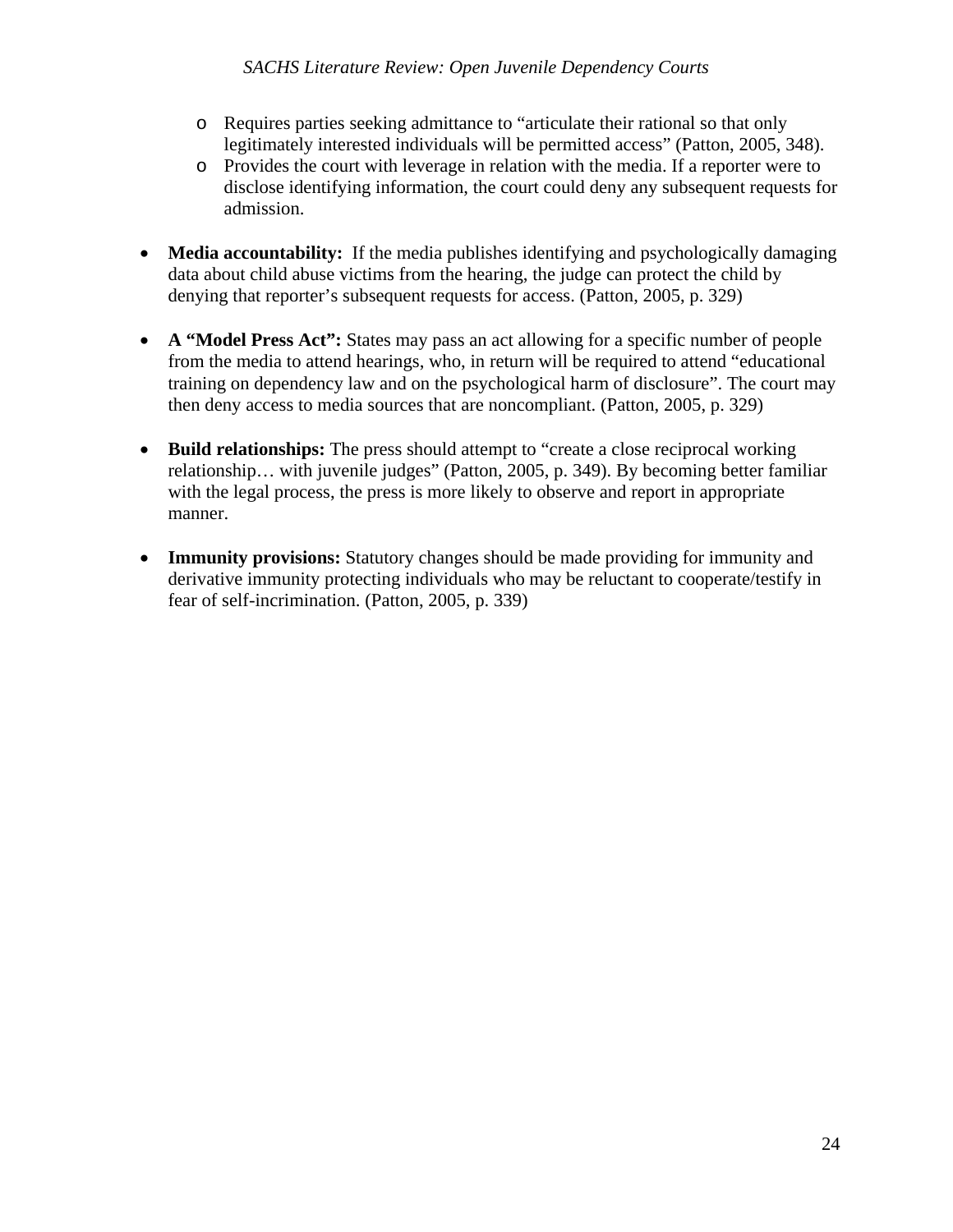- o Requires parties seeking admittance to "articulate their rational so that only legitimately interested individuals will be permitted access" (Patton, 2005, 348).
- o Provides the court with leverage in relation with the media. If a reporter were to disclose identifying information, the court could deny any subsequent requests for admission.
- **Media accountability:** If the media publishes identifying and psychologically damaging data about child abuse victims from the hearing, the judge can protect the child by denying that reporter's subsequent requests for access. (Patton, 2005, p. 329)
- **A "Model Press Act":** States may pass an act allowing for a specific number of people from the media to attend hearings, who, in return will be required to attend "educational training on dependency law and on the psychological harm of disclosure". The court may then deny access to media sources that are noncompliant. (Patton, 2005, p. 329)
- **Build relationships:** The press should attempt to "create a close reciprocal working relationship… with juvenile judges" (Patton, 2005, p. 349). By becoming better familiar with the legal process, the press is more likely to observe and report in appropriate manner.
- **Immunity provisions:** Statutory changes should be made providing for immunity and derivative immunity protecting individuals who may be reluctant to cooperate/testify in fear of self-incrimination. (Patton, 2005, p. 339)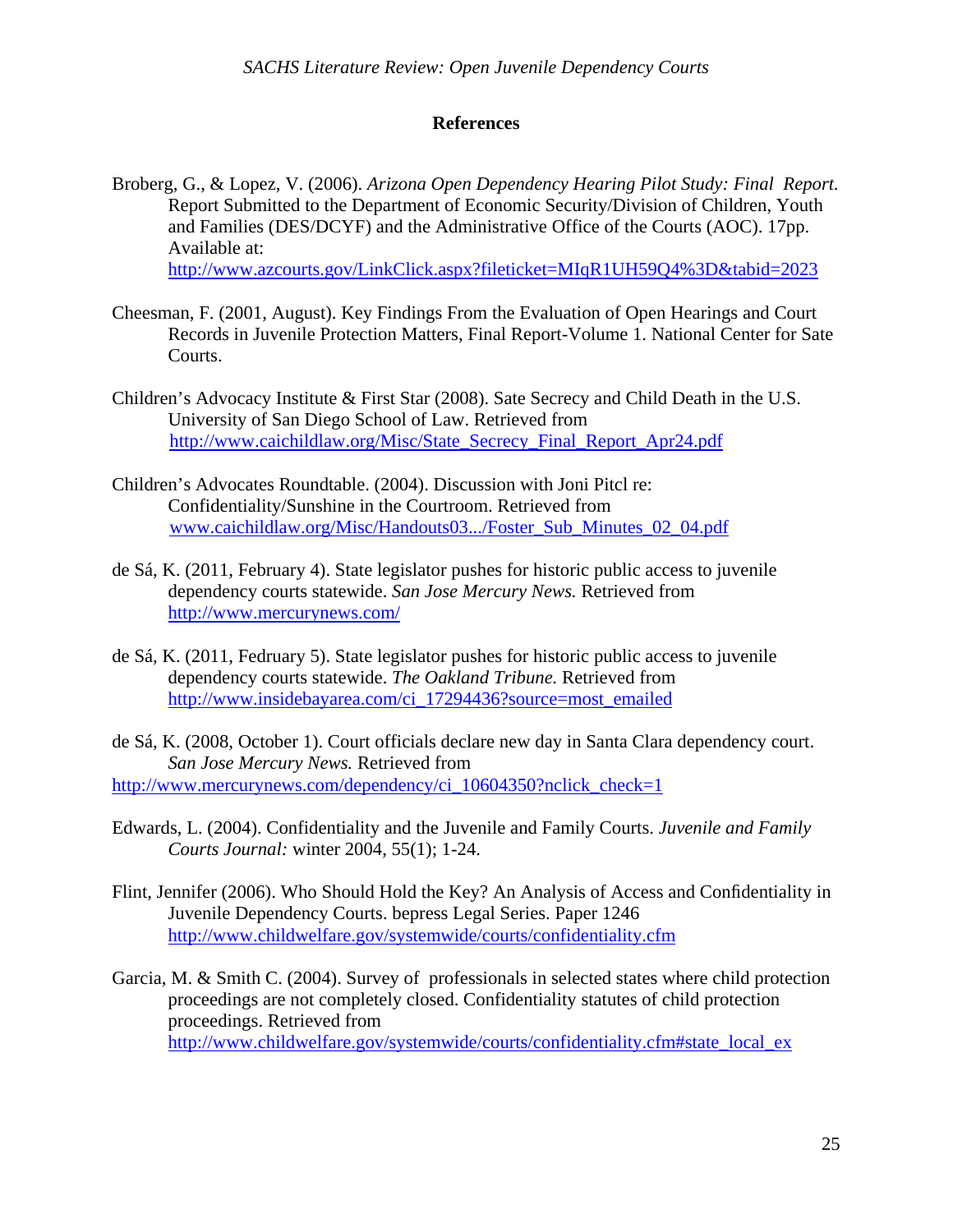### **References**

- Broberg, G., & Lopez, V. (2006). *Arizona Open Dependency Hearing Pilot Study: Final Report.* Report Submitted to the Department of Economic Security/Division of Children, Youth and Families (DES/DCYF) and the Administrative Office of the Courts (AOC). 17pp. Available at: http://www.azcourts.gov/LinkClick.aspx?fileticket=MIqR1UH59Q4%3D&tabid=2023
- Cheesman, F. (2001, August). Key Findings From the Evaluation of Open Hearings and Court Records in Juvenile Protection Matters, Final Report-Volume 1. National Center for Sate Courts.
- Children's Advocacy Institute & First Star (2008). Sate Secrecy and Child Death in the U.S. University of San Diego School of Law. Retrieved from http://www.caichildlaw.org/Misc/State\_Secrecy\_Final\_Report\_Apr24.pdf
- Children's Advocates Roundtable. (2004). Discussion with Joni Pitcl re: Confidentiality/Sunshine in the Courtroom. Retrieved from www.caichildlaw.org/Misc/Handouts03.../Foster\_Sub\_Minutes\_02\_04.pdf
- de Sá, K. (2011, February 4). State legislator pushes for historic public access to juvenile dependency courts statewide. *San Jose Mercury News.* Retrieved from http://www.mercurynews.com/
- de Sá, K. (2011, Fedruary 5). State legislator pushes for historic public access to juvenile dependency courts statewide. *The Oakland Tribune.* Retrieved from http://www.insidebayarea.com/ci\_17294436?source=most\_emailed
- de Sá, K. (2008, October 1). Court officials declare new day in Santa Clara dependency court. *San Jose Mercury News.* Retrieved from http://www.mercurynews.com/dependency/ci\_10604350?nclick\_check=1
- Edwards, L. (2004). Confidentiality and the Juvenile and Family Courts. *Juvenile and Family Courts Journal:* winter 2004, 55(1); 1-24.
- Flint, Jennifer (2006). Who Should Hold the Key? An Analysis of Access and Confidentiality in Juvenile Dependency Courts. bepress Legal Series. Paper 1246 http://www.childwelfare.gov/systemwide/courts/confidentiality.cfm
- Garcia, M. & Smith C. (2004). Survey of professionals in selected states where child protection proceedings are not completely closed. Confidentiality statutes of child protection proceedings. Retrieved from http://www.childwelfare.gov/systemwide/courts/confidentiality.cfm#state\_local\_ex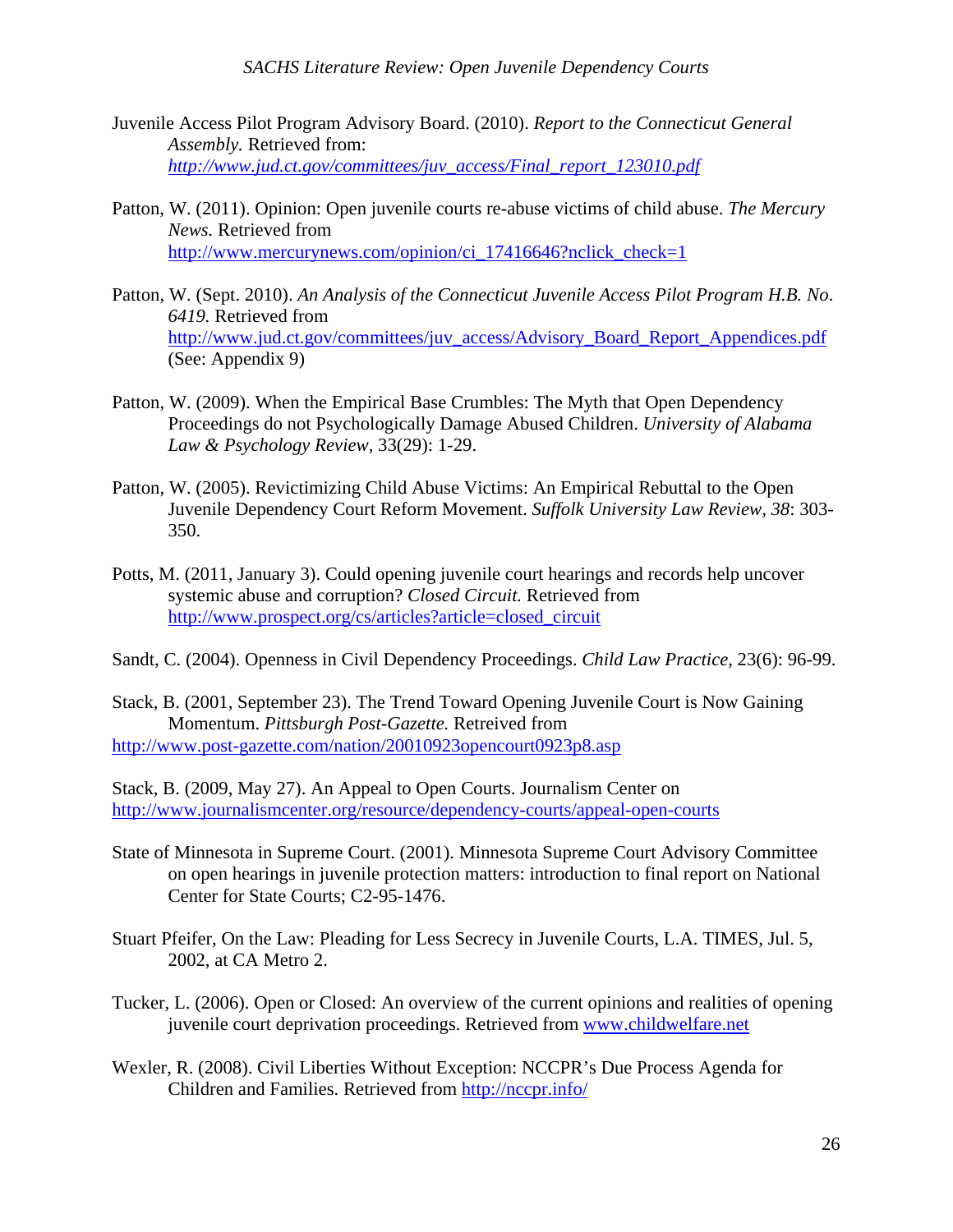- Juvenile Access Pilot Program Advisory Board. (2010). *Report to the Connecticut General Assembly.* Retrieved from: *http://www.jud.ct.gov/committees/juv\_access/Final\_report\_123010.pdf*
- Patton, W. (2011). Opinion: Open juvenile courts re-abuse victims of child abuse. *The Mercury News.* Retrieved from http://www.mercurynews.com/opinion/ci\_17416646?nclick\_check=1
- Patton, W. (Sept. 2010). *An Analysis of the Connecticut Juvenile Access Pilot Program H.B. No*. *6419.* Retrieved from http://www.jud.ct.gov/committees/juv\_access/Advisory\_Board\_Report\_Appendices.pdf (See: Appendix 9)
- Patton, W. (2009). When the Empirical Base Crumbles: The Myth that Open Dependency Proceedings do not Psychologically Damage Abused Children. *University of Alabama Law & Psychology Review,* 33(29): 1-29.
- Patton, W. (2005). Revictimizing Child Abuse Victims: An Empirical Rebuttal to the Open Juvenile Dependency Court Reform Movement. *Suffolk University Law Review, 38*: 303- 350.
- Potts, M. (2011, January 3). Could opening juvenile court hearings and records help uncover systemic abuse and corruption? *Closed Circuit.* Retrieved from http://www.prospect.org/cs/articles?article=closed\_circuit
- Sandt, C. (2004). Openness in Civil Dependency Proceedings. *Child Law Practice,* 23(6): 96-99.
- Stack, B. (2001, September 23). The Trend Toward Opening Juvenile Court is Now Gaining Momentum. *Pittsburgh Post-Gazette.* Retreived from http://www.post-gazette.com/nation/20010923opencourt0923p8.asp

Stack, B. (2009, May 27). An Appeal to Open Courts. Journalism Center on http://www.journalismcenter.org/resource/dependency-courts/appeal-open-courts

- State of Minnesota in Supreme Court. (2001). Minnesota Supreme Court Advisory Committee on open hearings in juvenile protection matters: introduction to final report on National Center for State Courts; C2-95-1476.
- Stuart Pfeifer, On the Law: Pleading for Less Secrecy in Juvenile Courts, L.A. TIMES, Jul. 5, 2002, at CA Metro 2.
- Tucker, L. (2006). Open or Closed: An overview of the current opinions and realities of opening juvenile court deprivation proceedings. Retrieved from www.childwelfare.net
- Wexler, R. (2008). Civil Liberties Without Exception: NCCPR's Due Process Agenda for Children and Families. Retrieved from http://nccpr.info/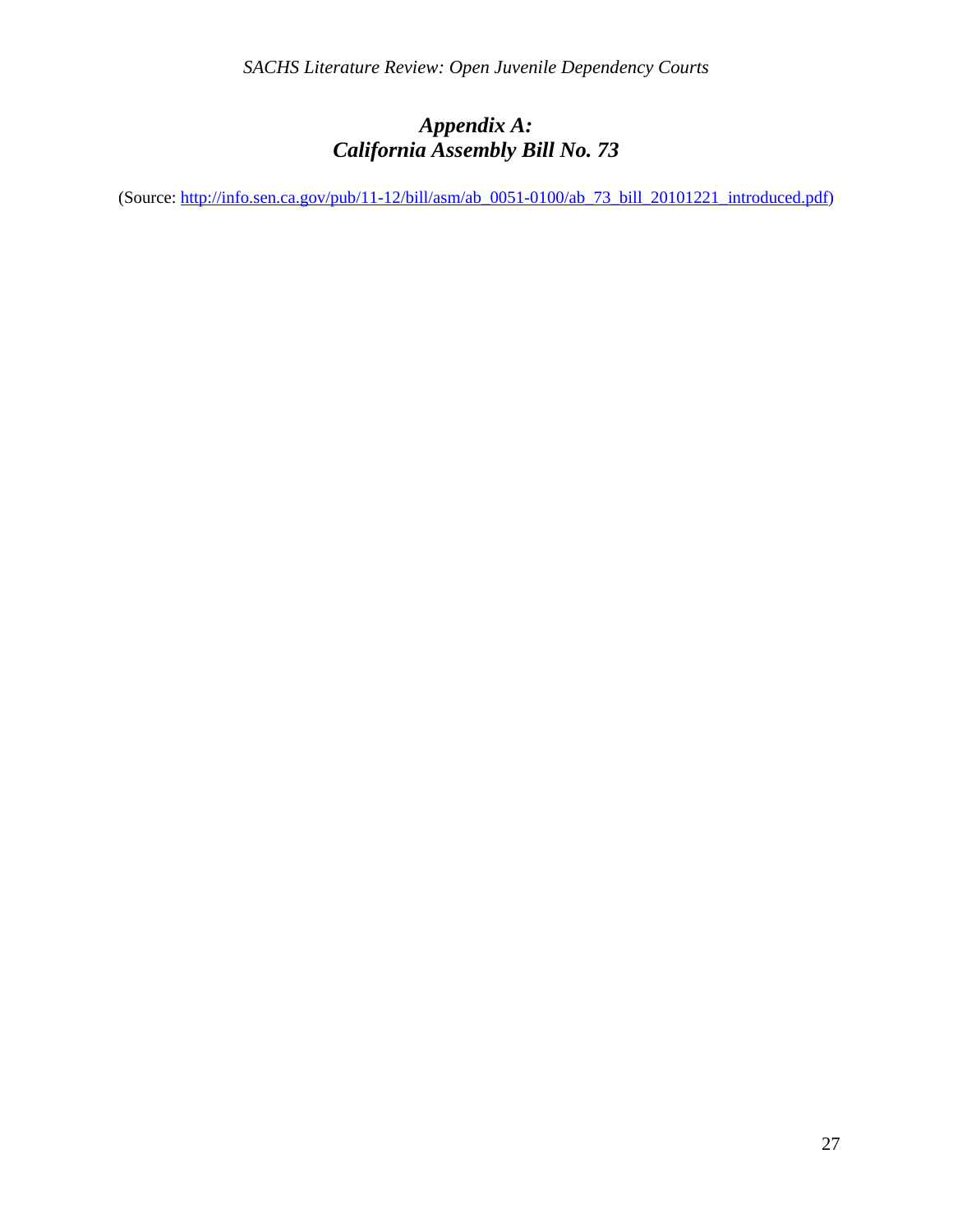# *Appendix A: California Assembly Bill No. 73*

(Source: http://info.sen.ca.gov/pub/11-12/bill/asm/ab\_0051-0100/ab\_73\_bill\_20101221\_introduced.pdf)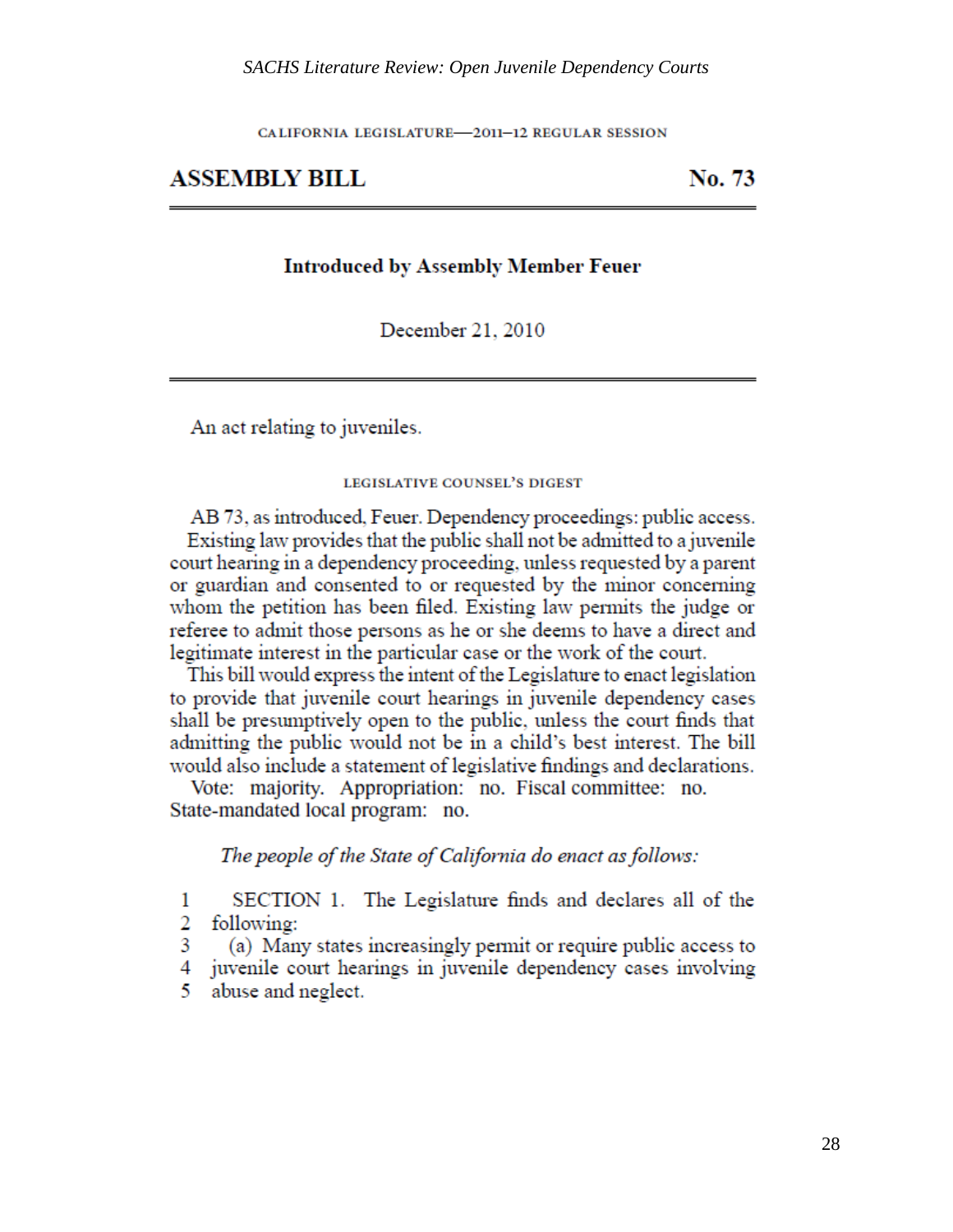CALIFORNIA LEGISLATURE-2011-12 REGULAR SESSION

### **ASSEMBLY BILL**

No. 73

### **Introduced by Assembly Member Feuer**

December 21, 2010

An act relating to juveniles.

#### **LEGISLATIVE COUNSEL'S DIGEST**

AB 73, as introduced, Feuer. Dependency proceedings: public access. Existing law provides that the public shall not be admitted to a juvenile court hearing in a dependency proceeding, unless requested by a parent or guardian and consented to or requested by the minor concerning whom the petition has been filed. Existing law permits the judge or referee to admit those persons as he or she deems to have a direct and legitimate interest in the particular case or the work of the court.

This bill would express the intent of the Legislature to enact legislation to provide that juvenile court hearings in juvenile dependency cases shall be presumptively open to the public, unless the court finds that admitting the public would not be in a child's best interest. The bill would also include a statement of legislative findings and declarations.

Vote: majority. Appropriation: no. Fiscal committee: no. State-mandated local program: no.

The people of the State of California do enact as follows:

SECTION 1. The Legislature finds and declares all of the  $\mathbf{1}$ 2 following:

3 (a) Many states increasingly permit or require public access to

4 juvenile court hearings in juvenile dependency cases involving

5. abuse and neglect.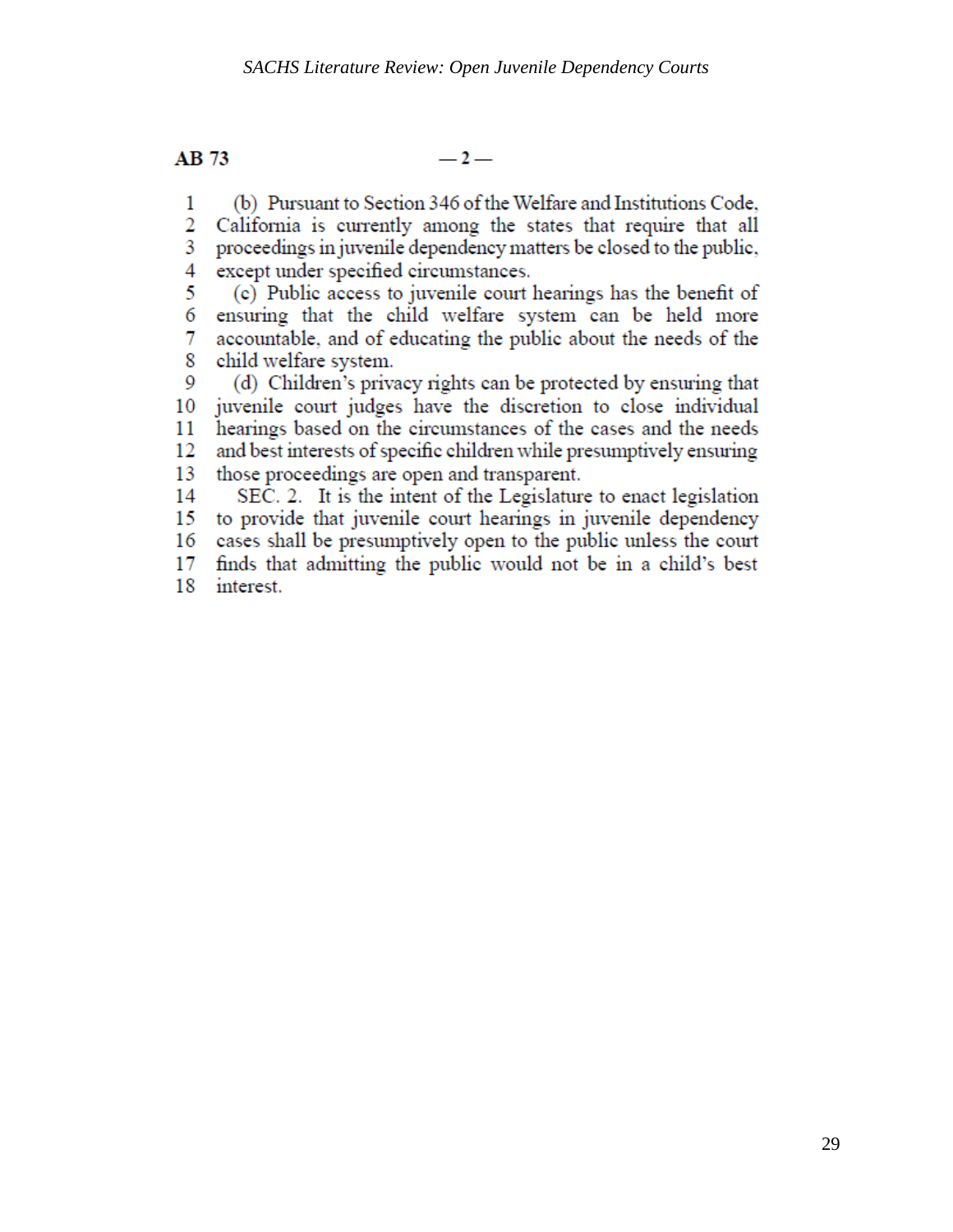AB 73

 $-2-$ 

(b) Pursuant to Section 346 of the Welfare and Institutions Code,  $\mathbf{1}$ 

 $\overline{2}$ California is currently among the states that require that all 3 proceedings in juvenile dependency matters be closed to the public, 4 except under specified circumstances.

5. (c) Public access to juvenile court hearings has the benefit of 6 ensuring that the child welfare system can be held more accountable, and of educating the public about the needs of the 7. 8 child welfare system.

(d) Children's privacy rights can be protected by ensuring that 9 juvenile court judges have the discretion to close individual 10 hearings based on the circumstances of the cases and the needs 11 and best interests of specific children while presumptively ensuring 12 13 those proceedings are open and transparent.

14 SEC. 2. It is the intent of the Legislature to enact legislation to provide that juvenile court hearings in juvenile dependency 15 16 cases shall be presumptively open to the public unless the court 17 finds that admitting the public would not be in a child's best

18 interest.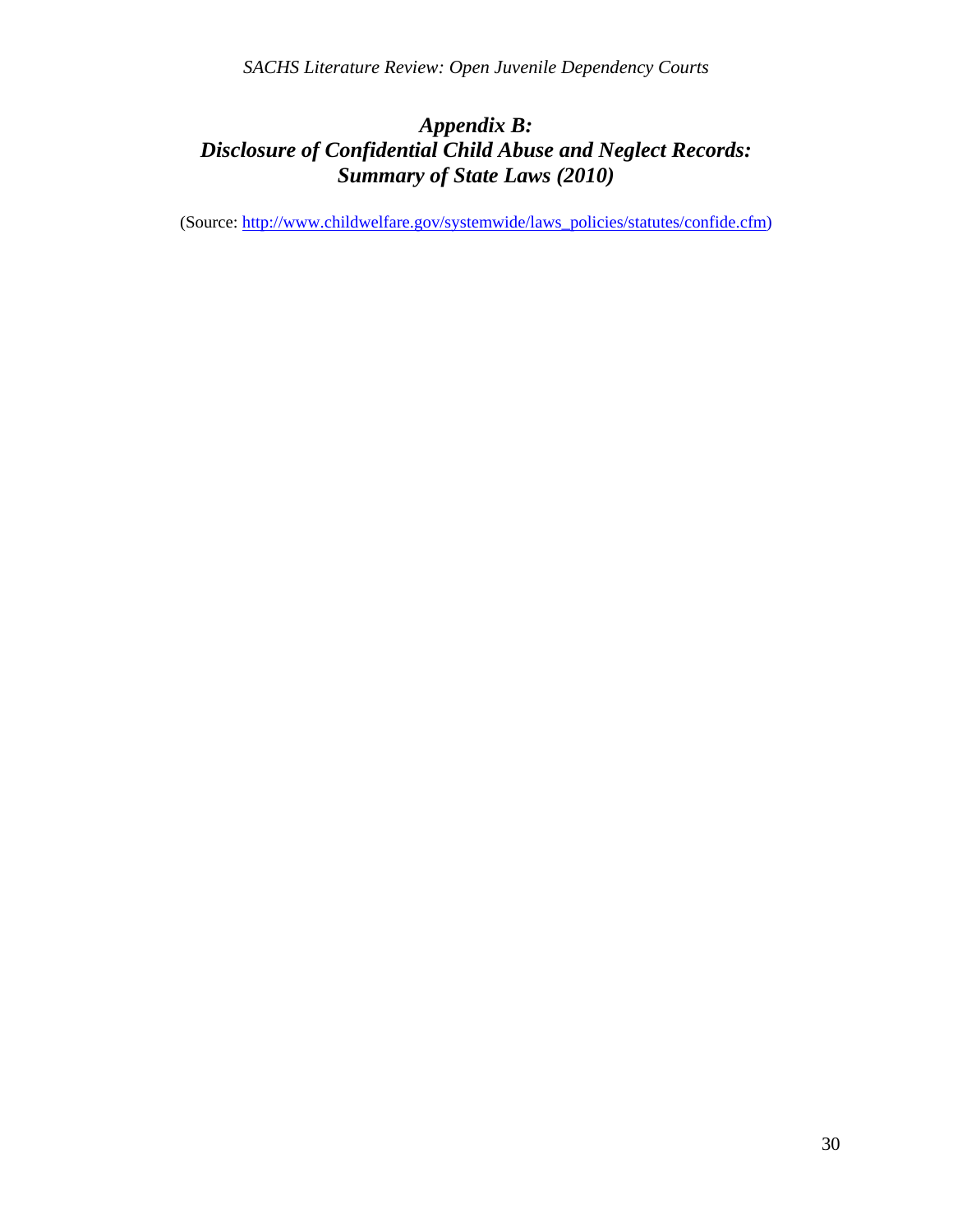# *Appendix B: Disclosure of Confidential Child Abuse and Neglect Records: Summary of State Laws (2010)*

(Source: http://www.childwelfare.gov/systemwide/laws\_policies/statutes/confide.cfm)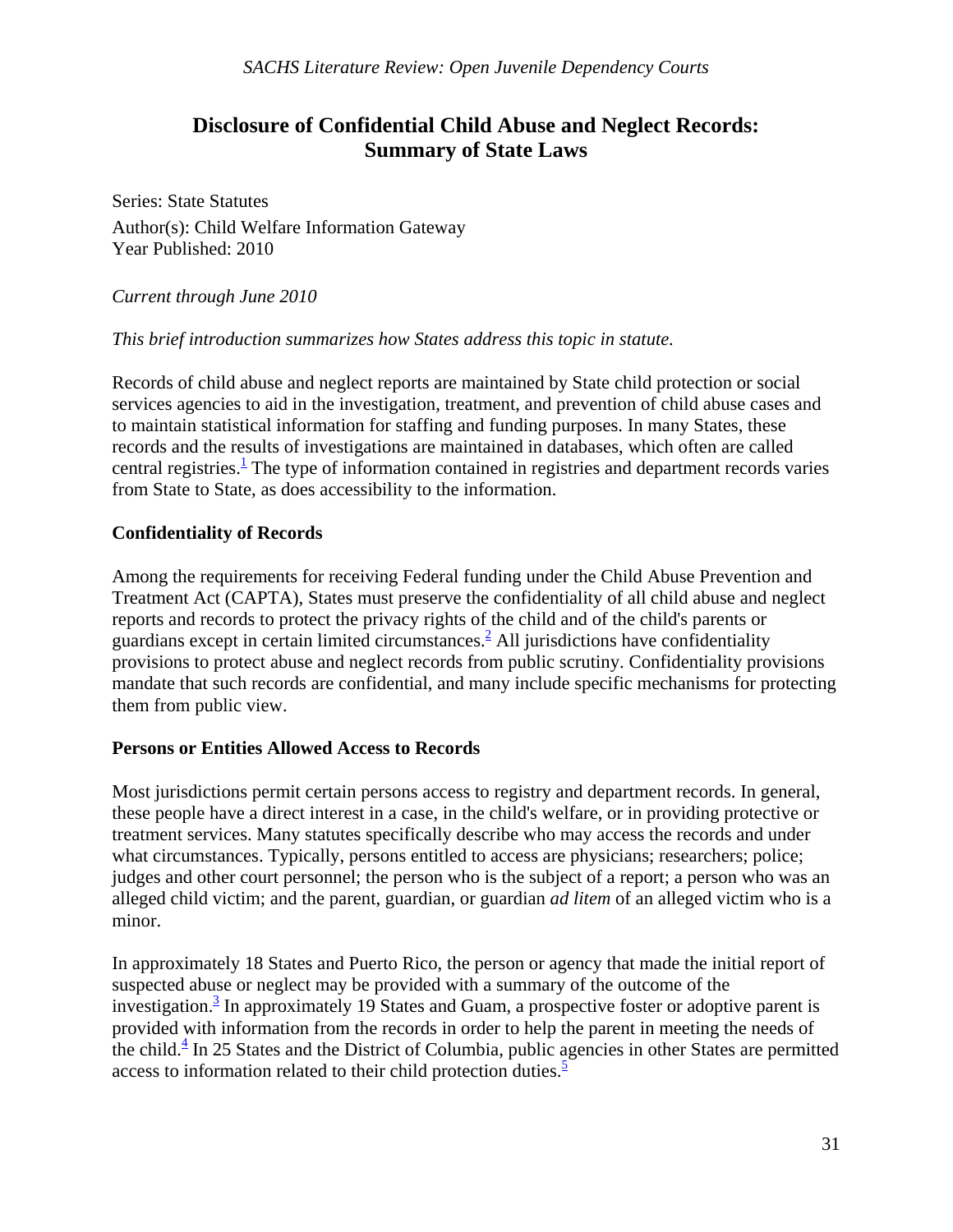# **Disclosure of Confidential Child Abuse and Neglect Records: Summary of State Laws**

Series: State Statutes Author(s): Child Welfare Information Gateway Year Published: 2010

*Current through June 2010*

### *This brief introduction summarizes how States address this topic in statute.*

Records of child abuse and neglect reports are maintained by State child protection or social services agencies to aid in the investigation, treatment, and prevention of child abuse cases and to maintain statistical information for staffing and funding purposes. In many States, these records and the results of investigations are maintained in databases, which often are called central registries. $\frac{1}{1}$  The type of information contained in registries and department records varies from State to State, as does accessibility to the information.

### **Confidentiality of Records**

Among the requirements for receiving Federal funding under the Child Abuse Prevention and Treatment Act (CAPTA), States must preserve the confidentiality of all child abuse and neglect reports and records to protect the privacy rights of the child and of the child's parents or guardians except in certain limited circumstances. $^{2}$  All jurisdictions have confidentiality provisions to protect abuse and neglect records from public scrutiny. Confidentiality provisions mandate that such records are confidential, and many include specific mechanisms for protecting them from public view.

### **Persons or Entities Allowed Access to Records**

Most jurisdictions permit certain persons access to registry and department records. In general, these people have a direct interest in a case, in the child's welfare, or in providing protective or treatment services. Many statutes specifically describe who may access the records and under what circumstances. Typically, persons entitled to access are physicians; researchers; police; judges and other court personnel; the person who is the subject of a report; a person who was an alleged child victim; and the parent, guardian, or guardian *ad litem* of an alleged victim who is a minor.

In approximately 18 States and Puerto Rico, the person or agency that made the initial report of suspected abuse or neglect may be provided with a summary of the outcome of the investigation.<sup>3</sup> In approximately 19 States and Guam, a prospective foster or adoptive parent is provided with information from the records in order to help the parent in meeting the needs of the child. $\frac{4}{3}$  In 25 States and the District of Columbia, public agencies in other States are permitted access to information related to their child protection duties. $\frac{5}{3}$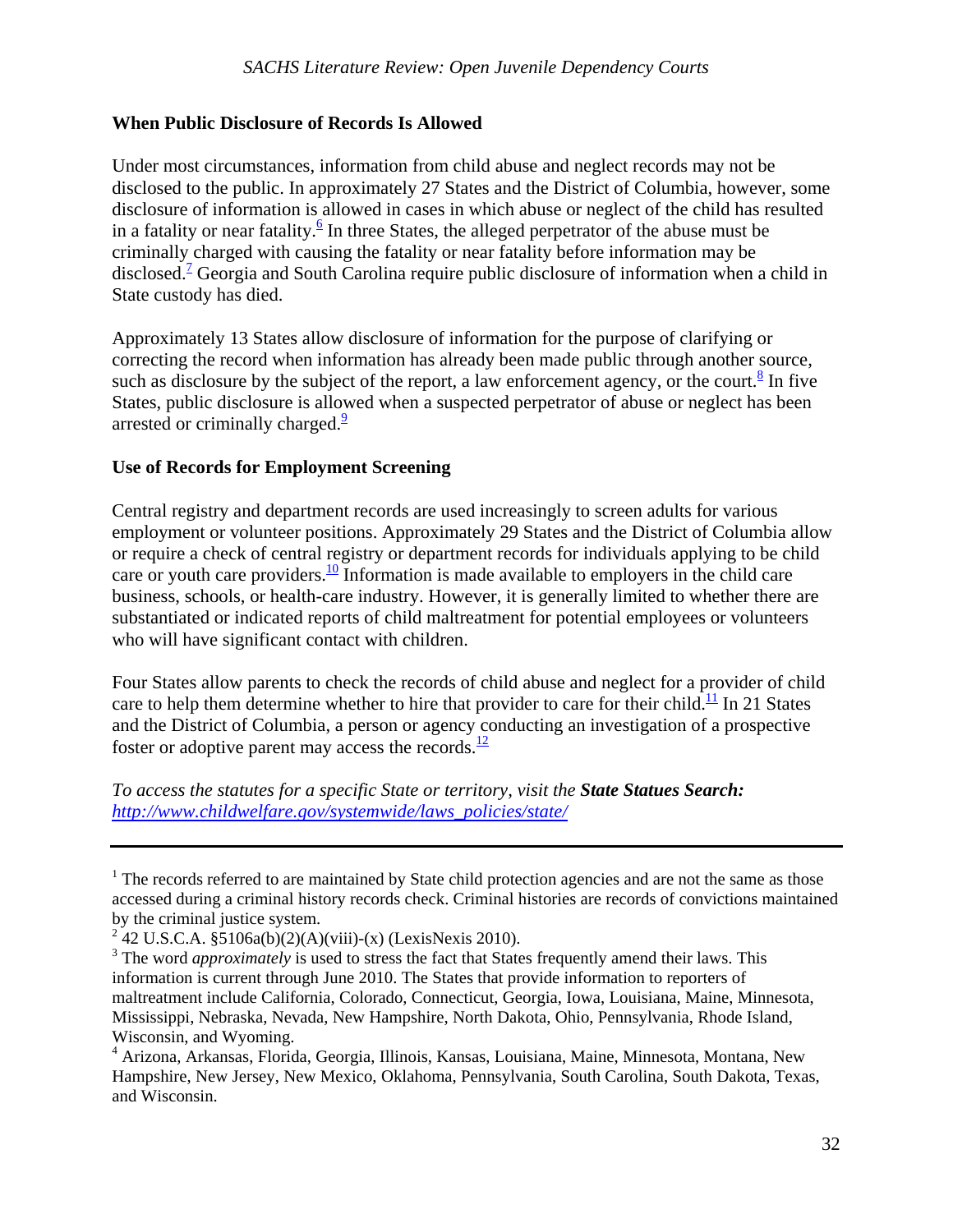### **When Public Disclosure of Records Is Allowed**

Under most circumstances, information from child abuse and neglect records may not be disclosed to the public. In approximately 27 States and the District of Columbia, however, some disclosure of information is allowed in cases in which abuse or neglect of the child has resulted in a fatality or near fatality.  $\frac{6}{5}$  In three States, the alleged perpetrator of the abuse must be criminally charged with causing the fatality or near fatality before information may be disclosed.<sup>7</sup> Georgia and South Carolina require public disclosure of information when a child in State custody has died.

Approximately 13 States allow disclosure of information for the purpose of clarifying or correcting the record when information has already been made public through another source, such as disclosure by the subject of the report, a law enforcement agency, or the court.<sup>8</sup> In five States, public disclosure is allowed when a suspected perpetrator of abuse or neglect has been arrested or criminally charged. $\frac{9}{2}$ 

### **Use of Records for Employment Screening**

Central registry and department records are used increasingly to screen adults for various employment or volunteer positions. Approximately 29 States and the District of Columbia allow or require a check of central registry or department records for individuals applying to be child care or youth care providers.<sup>10</sup> Information is made available to employers in the child care business, schools, or health-care industry. However, it is generally limited to whether there are substantiated or indicated reports of child maltreatment for potential employees or volunteers who will have significant contact with children.

Four States allow parents to check the records of child abuse and neglect for a provider of child care to help them determine whether to hire that provider to care for their child.<sup>11</sup> In 21 States and the District of Columbia, a person or agency conducting an investigation of a prospective foster or adoptive parent may access the records. $\frac{12}{12}$ 

*To access the statutes for a specific State or territory, visit the State Statues Search: http://www.childwelfare.gov/systemwide/laws\_policies/state/* 

 $1$  The records referred to are maintained by State child protection agencies and are not the same as those accessed during a criminal history records check. Criminal histories are records of convictions maintained by the criminal justice system.

<sup>&</sup>lt;sup>2</sup> 42 U.S.C.A. §5106a(b)(2)(A)(viii)-(x) (LexisNexis 2010).

<sup>&</sup>lt;sup>3</sup> The word *approximately* is used to stress the fact that States frequently amend their laws. This information is current through June 2010. The States that provide information to reporters of maltreatment include California, Colorado, Connecticut, Georgia, Iowa, Louisiana, Maine, Minnesota, Mississippi, Nebraska, Nevada, New Hampshire, North Dakota, Ohio, Pennsylvania, Rhode Island, Wisconsin, and Wyoming.

<sup>4</sup> Arizona, Arkansas, Florida, Georgia, Illinois, Kansas, Louisiana, Maine, Minnesota, Montana, New Hampshire, New Jersey, New Mexico, Oklahoma, Pennsylvania, South Carolina, South Dakota, Texas, and Wisconsin.